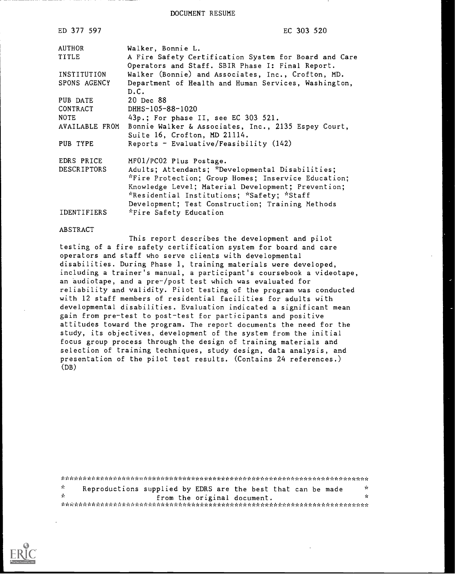DOCUMENT RESUME

| ED 377 597     | EC 303 520                                                                                                |
|----------------|-----------------------------------------------------------------------------------------------------------|
| AUTHOR         | Walker, Bonnie L.                                                                                         |
| TITLE          | A Fire Safety Certification System for Board and Care<br>Operators and Staff. SBIR Phase I: Final Report. |
| INSTITUTION    | Walker (Bonnie) and Associates, Inc., Crofton, MD.                                                        |
| SPONS AGENCY   | Department of Health and Human Services, Washington,<br>D.C.                                              |
| PUB DATE       | 20 Dec 88                                                                                                 |
| CONTRACT       | DHHS-105-88-1020                                                                                          |
| <b>NOTE</b>    | 43p.; For phase II, see EC 303 521.                                                                       |
| AVAILABLE FROM | Bonnie Walker & Associates, Inc., 2135 Espey Court,                                                       |
|                | Suite 16, Crofton, MD 21114.                                                                              |
| PUB TYPE       | Reports - Evaluative/Feasibility $(142)$                                                                  |
| EDRS PRICE     | MF01/PC02 Plus Postage.                                                                                   |
| DESCRIPTORS    | Adults; Attendants; *Developmental Disabilities;                                                          |
|                | *Fire Protection; Group Homes; Inservice Education;                                                       |
|                | Knowledge Level; Material Development; Prevention;                                                        |
|                | *Residential Institutions; *Safety; *Staff                                                                |
|                | Development; Test Construction; Training Methods                                                          |
| IDENTIFIERS    | *Fire Safety Education                                                                                    |

#### ABSTRACT

This report describes the development and pilot testing of a fire safety certification system for board and care operators and staff who serve clients with developmental disabilities. During Phase 1, training materials were developed, including a trainer's manual, a participant's coursebook a videotape, an audiotape, and a pre-/post test which was evaluated for reliability and validity. Pilot testing of the program was conducted with 12 staff members of residential facilities for adults with developmental disabilities. Evaluation indicated a significant mean gain from pre-test to post-test for participants and positive attitudes toward the program. The report documents the need for the study, its objectives, development of the system from the initial focus group process through the design of training materials and selection of training techniques, study design, data analysis, and presentation of the pilot test results. (Contains 24 references.)  $(DB)$ 

| - se | Reproductions supplied by EDRS are the best that can be made |  |                             | n e  |
|------|--------------------------------------------------------------|--|-----------------------------|------|
| - Se |                                                              |  | from the original document. | ar i |
|      |                                                              |  |                             |      |

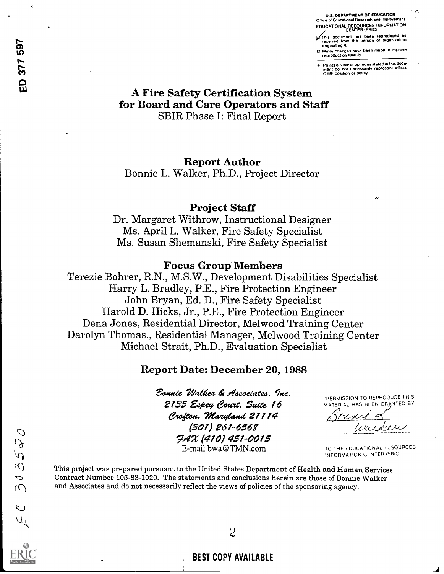U.3. DEPARTMENT Of EDUCATION Office of Educational Research and Improve EDUCATIONAL RESOURCES INFORMATION<br>CENTER (ERIC)

/his document has been reproduced as received from the person or orgamtation Originating d.

0 Minor changes have been made to imprOve reprotluCtiOn Quality

Points of view or opinions stated in this docu-ment do not necessarily represent official OEM position or policy

# A Fire Safety Certification System for Board and Care Operators and Staff SBIR Phase I: Final Report

Report Author Bonnie L. Walker, Ph.D., Project Director

Project Staff

Dr. Margaret Withrow, Instructional Designer Ms. April L. Walker, Fire Safety Specialist Ms. Susan Shemanski, Fire Safety Specialist

# Focus Group Members

Terezie Bohrer, R.N., M.S.W., Development Disabilities Specialist Harry L. Bradley, P.E., Fire Protection Engineer John Bryan, Ed. D., Fire Safety Specialist Harold D. Hicks, Jr., P.E., Fire Protection Engineer Dena Jones, Residential Director, Melwood Training Center Darolyn Thomas., Residential Manager, Melwood Training Center Michael Strait, Ph.D., Evaluation Specialist

# Report Date: December 20, 1988

Bonnie Walker & Associates, Inc. 2135 Espey Court, Suite 16 Crofton, Maryland 21114 (301) 261-656S' 9;12 (410) 451-0015 E-mail bwa@TMN.com

PERMISSION TO REPRODUCE THIS MATERIAL HAS BEEN GRANTED BY

Brigado e

TO THE EDUCATIONAL I L SOURCES INFORMATION CENTER (FRIC)

This project was prepared pursuant to the United States Department of Health and Human Services Contract Number 105-88-1020. The statements and conclusions herein are those of Bonnie Walker and Associates and do not necessarily reflect the views of policies of the sponsoring agency.

# BEST COPY AVAILABLE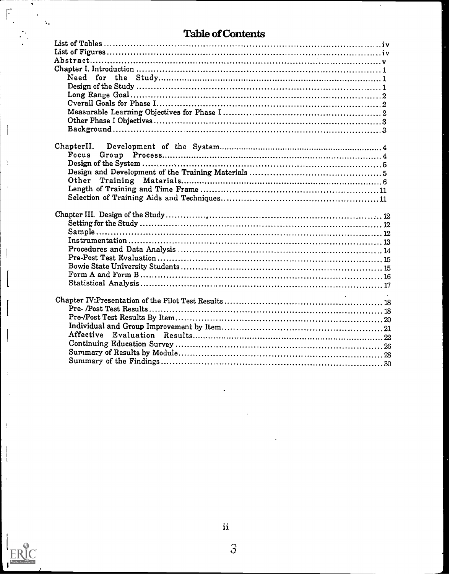# Table of Contents

 $\hat{\mathcal{A}}$ 

| ChapterII. |
|------------|
| Focus      |
|            |
|            |
|            |
|            |
|            |
|            |
|            |
|            |
|            |
|            |
|            |
|            |
|            |
|            |
|            |
|            |
|            |
|            |
|            |
|            |
|            |
| Affective  |
|            |
|            |
|            |

 $\overline{\phantom{a}}$ 

 $\bar{z}$ 

 $\mathbf{i}$ 

 $\mathbf{I}$ 

 $\mathfrak l$ 

J

 $\frac{1}{2}$ 

 $\overline{\phantom{a}}$ 

 $\mathbf{I}% _{0}\left( \mathbf{I}_{0}\right)$ ÷,

-i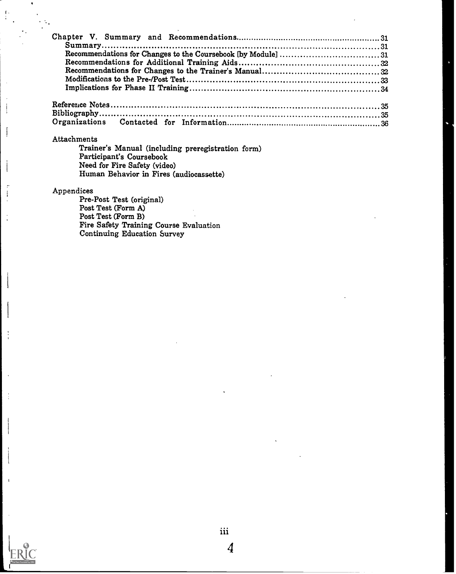#### Attachments

 $\frac{1}{4}$ 

 $\overline{\phantom{a}}$ 

 $\mathbf{I}$ 

 $\frac{1}{4}$ 

 $\mathbf{I}$ 

Trainer's Manual (including preregistration form) Participant's Coursebook Need for Fire Safety (video) Human Behavior in Fires (audiocassette)

#### Appendices

Pre-Post Test (original) Post Test (Form A) Post Test (Form B) Fire Safety Training Course Evaluation Continuing Education Survey

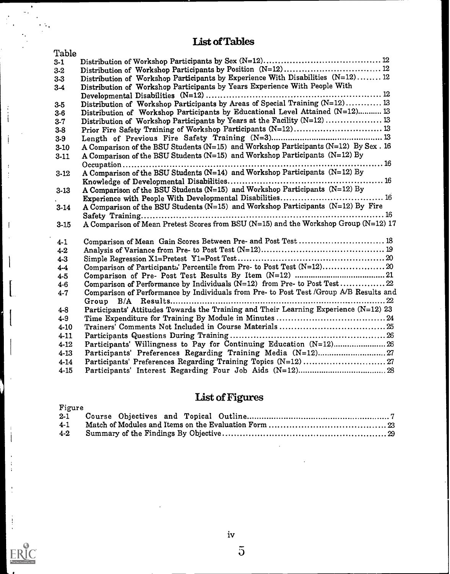# List of Tables

| Table    |                                                                                        |
|----------|----------------------------------------------------------------------------------------|
| $3-1$    |                                                                                        |
| $3-2$    | Distribution of Workshop Participants by Position (N=12) 12                            |
| $3-3$    | Distribution of Workshop Participants by Experience With Disabilities (N=12) 12        |
| $3-4$    | Distribution of Workshop Participants by Years Experience With People With             |
|          |                                                                                        |
| $3-5$    | Distribution of Workshop Participants by Areas of Special Training (N=12) 13           |
| $3-6$    | Distribution of Workshop Participants by Educational Level Attained (N=12) 13          |
| $3-7$    | Distribution of Workshop Participants by Years at the Facility (N=12)  13              |
| $3-8$    | Prior Fire Safety Training of Workshop Participants (N=12) 13                          |
| $3-9$    |                                                                                        |
| $3 - 10$ | A Comparison of the BSU Students (N=15) and Workshop Participants (N=12) By Sex. 16    |
| $3-11$   | A Comparison of the BSU Students (N=15) and Workshop Participants (N=12) By            |
|          |                                                                                        |
| $3 - 12$ |                                                                                        |
|          |                                                                                        |
| $3 - 13$ | A Comparison of the BSU Students (N=15) and Workshop Participants (N=12) By            |
|          |                                                                                        |
| $3-14$   | A Comparison of the BSU Students (N=15) and Workshop Participants (N=12) By Fire       |
|          |                                                                                        |
| $3 - 15$ |                                                                                        |
|          |                                                                                        |
| $4 - 1$  | Comparison of Mean Gain Scores Between Pre- and Post Test  18                          |
| $4 - 2$  |                                                                                        |
| $4 - 3$  |                                                                                        |
| $4-4$    |                                                                                        |
| $4 - 5$  |                                                                                        |
| $4-6$    | Comparison of Performance by Individuals (N=12) from Pre- to Post Test22               |
| $4 - 7$  | Comparison of Performance by Individuals from Pre- to Post Test /Group A/B Results and |
|          |                                                                                        |
| $4 - 8$  | Participants' Attitudes Towards the Training and Their Learning Experience (N=12) 23   |
| $4 - 9$  |                                                                                        |
| $4 - 10$ |                                                                                        |
| $4 - 11$ |                                                                                        |
| $4 - 12$ |                                                                                        |
| $4-13$   |                                                                                        |
| $4 - 14$ |                                                                                        |
| $4 - 15$ |                                                                                        |

# List of Figures

| Figure  |  |
|---------|--|
|         |  |
| $4-1$   |  |
| $4 - 2$ |  |



 $\frac{1}{1}$ 

j

 $\cdot$  $\frac{1}{2}$ 

j,

 $\overline{1}$ 

 $\overline{\mathbf{a}}$ 

 $\mathbf l$ 

 $\mathbf{l}$ 

<sup>-</sup>

i,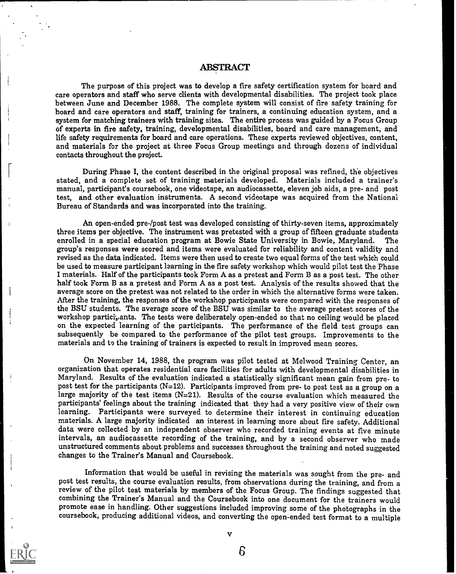#### ABSTRACT

The purpose of this project was to develop a fire safety certification system for board and care operators and staff who serve clients with developmental disabilities. The project took place between June and December 1988. The complete system will consist of fire safety training for board and care operators and staff, training for trainers, a continuing education system, and a system for matching trainers with training sites. The entire process was guided by a Focus Group of experts in fire safety, training, developmental disabilities, board and care management, and life safety requirements for board and care operations. These experts reviewed objectives, content, and materials for the project at three Focus Group meetings and through dozens of individual contacts throughout the project.

During Phase I, the content described in the original proposal was refined, th'e objectives stated, and a complete set of training materials developed. Materials included a trainer's manual, participant's coursebook, one videotape, an audiocassette, eleven job aids, a pre- and post test, and other evaluation instruments. A second videotape was acquired from the National Bureau of Standards and was incorporated into the training.

An open-ended pre-/post test was developed consisting of thirty-seven items, approximately three items per objective. The instrument was pretested with a group of fifteen graduate students enrolled in a special education program at Bowie State University in Bowie, Maryland. group's responses were scored and items were evaluated for reliability and content validity and revised as the data indicated. Items were then used to create two equal forms of the test which could be used to measure participant learning in the fire safety workshop which would pilot test the Phase I materials. Half of the participants took Form A as a pretest and Form B as a post test. The other half took Form B as a pretest and Form A as a post test. Analysis of the results showed that the average score on the pretest was not related to the order in which the alternative forms were taken. After the training, the responses of the workshop participants were compared with the responses of the BSU students. The average score of the BSU was similar to the average pretest scores of the workshop partici<sub>k</sub>ants. The tests were deliberately open-ended so that no ceiling would be placed on the expected learning of the participants. The performance of the field test groups can subsequently be compared to the performance of the pilot test groups. Improvements to the materials and to the training of trainers is expected to result in improved mean scores.

On November 14, 1988, the program was pilot tested at Melwood Training Center, an organization that operates residential care facilities for adults with developmental disabilities in<br>Maryland. Results of the evaluation indicated a statistically significant mean gain from pre- to post test for the participants (N=12). Participants improved from pre- to post test as a group on a large majority of the test items (N=21). Results of the course evaluation which measured the participants' feelings about the training indicated that they had a very positive view of their own learning. Participants were surveyed to determine their interest in continuing education materials. A large majority indicated an interest in learning more about fire safety. Additional data were collected by an independent observer who recorded training events at five minute intervals, an audiocassette recording of the training, and by a second observer who made unstructured comments about problems and successes throughout the training and noted suggested changes to the Trainer's Manual and Coursebook.

Information that would be useful in revising the materials was sought from the pre- and post test results, the course evaluation results, from observations during the training, and from a review of the pilot test materials by members of the Focus Group. The findings suggested that combining the Trainer's Manual and the Coursebook into one document for the trainers would promote ease in handling. Other suggestions included improving some of the photographs in the coursebook, producing additional videos, and converting the open-ended test format to a multiple

V

 $\overline{L}$  6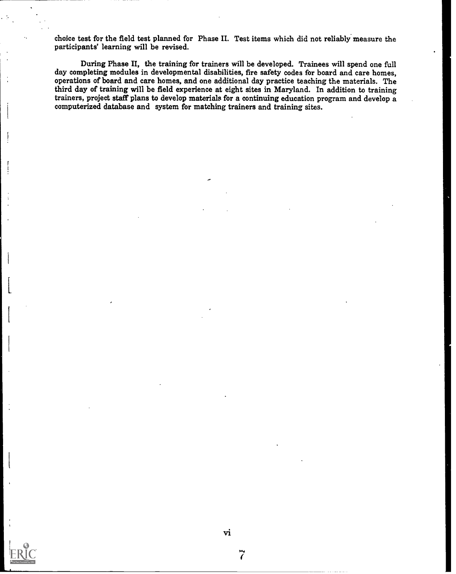choice test for the field test planned for Phase II. Test items which did not reliably measure the participants' learning will be revised.

During Phase II, the training for trainers will be developed. Trainees will spend one full day completing modules in developmental disabilities, fire safety codes for board and care homes, operations of board and care homes, and one additional day practice teaching the materials. The third day of training will be field experience at eight sites in Maryland. In addition to training trainers, project staff plans to develop materials for a continuing education program and develop a computerized database and system for matching trainers and training sites.

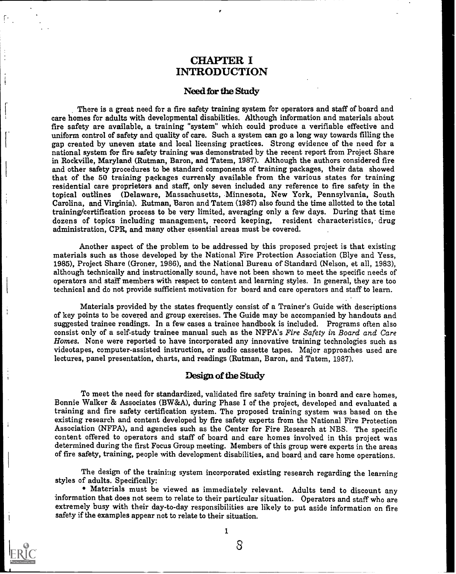# CHAPTER I INTRODUCTION

### Need for the Study

There is a great need for a fire safety training system for operators and staff of board and care homes for adults with developmental disabilities. Although information and materials about fire safety are available, a training "system" which could produce a verifiable effective and uniform control of safety and quality of care. Such a system can go a long way towards filling the gap created by uneven state and local licensing practices. Strong evidence of the need for a national system for fire safety training was demonstrated by the recent report from Project Share in Rockville, Maryland (Rutman, Baron, and Tatem, 1987). Although the authors considered fire and other safety procedures to be standard components of training packages, their data showed that of the 50 training packages currently available from the various states for training residential care proprietors and staff, only seven included any reference to fire safety in the topical outlines (Delaware, Massachusetts, Minnesota, New York, Pennsylvania, South Carolina, and Virginia). Rutman, Baron and Tatem (1987) also found the time allotted to the total training/certification process to be very limited, averaging only a few days. During that time dozens of topics including management, record keeping, resident characteristics, drug administration, CPR, and many other essential areas must be covered.

Another aspect of the problem to be addressed by this proposed project is that existing materials such as those developed by the National Fire Protection Association (Blye and Yess, 1985), Project Share (Groner, 1986), and the National Bureau of Standard (Nelson, et all, 1983), although technically and instructionally sound, have not been shown to meet the specific needs of operators and staff members with respect to content and learning styles. In general, they are too technical and do not provide sufficient motivation for board and care operators and staff to learn.

Materials provided by the states frequently consist of a Trainer's Guide with descriptions of key points to be covered and group exercises. The Guide may be accompanied by handouts and suggested trainee readings. In a few cases a trainee handbook is included. Programs often also consist only of a self-study trainee manual such as the NFFA's Fire Safety in Board and Care Homes. None were reported to have incorporated any innovative training technologies such as videotapes, computer-assisted instruction, or audio cassette tapes. Major approaches used are lectures, panel presentation, charts, and readings ( Rutman, Baron, and Tatem, 1987).

#### Design of the Study

To meet the need for standardized, validated fire safety training in board and care homes, Bonnie Walker & Associates (BW&A), during Phase I of the project, developed and evaluated a training and fire safety certification system. The proposed training system was based on the existing research and content developed by fire safety experts from the National Fire Protection Association (NFPA), and agencies such as the Center for Fire Research at NBS. The specific content offered to operators and staff of board and care homes involved in this project was determined during the first Focus Group meeting. Members of this group were experts in the areas of fire safety, training, people with development disabilities, and board and care home operations.

The design of the training system incorporated existing research regarding the learning styles of adults. Specifically:

• Materials must be viewed as immediately relevant. Adults tend to discount any information that does not seem to relate to their particular situation. Operators and staff who are extremely busy with their day-to-day responsibilities are likely to put aside information on fire safety if the examples appear not to relate to their situation.



j

1

 $8\phantom{1}$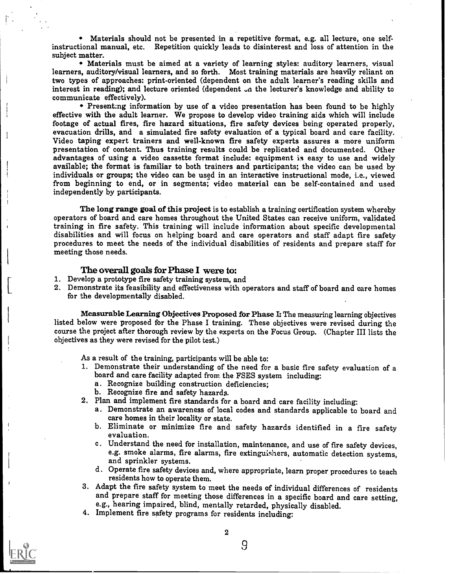Materials should not be presented in a repetitive format, e.g. all lecture, one selfinstructional manual, etc. Repetition quickly leads to disinterest and loss of attention in the

• Materials must be aimed at a variety of learning styles: auditory learners, visual learners, auditory/visual learners, and so forth. Most training materials are heavily reliant on two types of approaches: print-oriented (dependent on the adult learner's reading skills and interest in reading); and lecture oriented (dependent  $\sqrt{n}$  the lecturer's knowledge and ability to communicate effectively).

Presenting information by use of a video presentation has been found to be highly effective with the adult learner. We propose to develop video training aids which will include footage of actual fires, fire hazard situations, fire safety devices being operated properly, evacuation drills, and a simulated fire safety evaluation of a typical board and care facility. Video taping expert trainers and well-known fire safety experts assures a more uniform presentation of content. Thus training results could be replicated and documented. Other advantages of using a video cassette format include: equipment is easy to use and widely available; the format is familiar to both trainers and participants; the video can be used by individuals or groups; the video can be used in an interactive instructional mode, i.e., viewed from beginning to end, or in segments; video material can be self-contained and used independently by participants.

The long range goal of this project is to establish a training certification system whereby operators of board and care homes throughout the United States can receive uniform, validated training in fire safety. This training will include information about specific developmental disabilities and will focus on helping board and care operators and staff adapt fire safety procedures to meet the needs of the individual disabilities of residents and prepare staff for meeting those needs.

#### The overall goals for Phase I were to:

- 1. Develop a prototype fire safety training system, and
- 2. Demonstrate its feasibility and effectiveness with operators and staff of board and care homes for the developmentally disabled.

Measurable Learning Objectives Proposed for Phase I: The measuring learning objectives listed below were proposed for the Phase I training. These objectives were revised during the course the project after thorough review by the experts on the Focus Group. (Chapter III lists the objectives as they were revised for the pilot test.)

As a result of the training, participants will be able to:

- 1. Demonstrate their understanding of the need for a basic fire safety evaluation of a board and care facility adapted from the FSES system including:
	- a. Recognize building construction deficiencies;
	- b. Recognize fire and safety hazards.
- 2. Plan and implement fire standards for a board and care facility including:
	- a. Demonstrate an awareness of local codes and standards applicable to board and care homes in their locality or state.
	- b. Eliminate or minimize fire and safety hazards identified in a fire safety evaluation.
	- c. Understand the need for installation, maintenance, and use of fire safety devices, e.g. smoke alarms, fire alarms, fire extinguishers, automatic detection systems, and sprinkler systems.
	- d. Operate fire safety devices and, where appropriate, learn proper procedures to teach residents how to operate them.
- 3. Adapt the fire safety system to meet the needs of individual differences of residents and prepare staff for meeting those differences in a specific board and care setting, e.g., hearing impaired, blind, mentally retarded, physically disabled.
- 4. Implement fire safety programs for residents including:



÷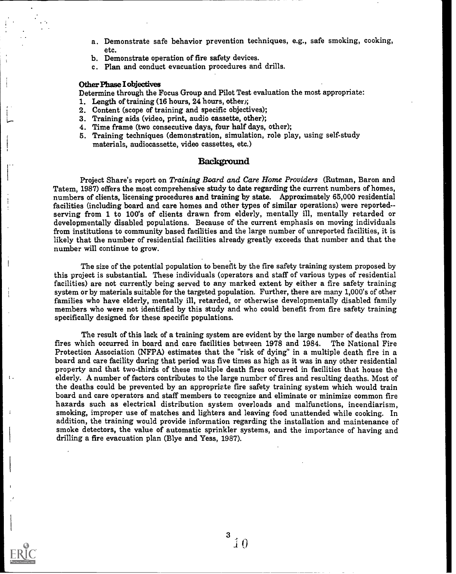- a. Demonstrate safe behavior prevention techniques, e.g., safe smoking, cooking, etc.
- b. Demonstrate operation of fire safety devices.
- c. Plan and conduct evacuation procedures and drills.

#### Other Phase I objectives

 $\mathbf{L}$ 

Determine through the Focus Group and Pilot Test evaluation the most appropriate:

- 1. Length of training (16 hours, 24 hours, other);
- 2. Content (scope of training and specific objectives);
- 3. Training aids (video, print, audio cassette, other);
- 4. Time frame (two consecutive days, four half days, other);
- 5. Training techniques (demonstration, simulation, role play, using self-study materials, audiocassette, video cassettes, etc.)

#### Background

Project Share's report on Training Board and Care Home Providers (Rutman, Baron and Tatem, 1987) offers the most comprehensive study to date regarding the current numbers of homes, numbers of clients, licensing procedures and training by state. Approximately 65,000 residential facilities (including board and care homes and other types of similar operations) were reported--<br>serving from 1 to 100's of clients drawn from elderly, mentally ill, mentally retarded or developmentally disabled populations. Because of the current emphasis on moving individuals from institutions to community based facilities and the large number of unreported facilities, it is likely that the number of residential facilities already greatly exceeds that number and that the number will continue to grow.

The size of the potential population to benefit by the fire safety training system proposed by this project is substantial. These individuals (operators and staff of various types of residential facilities) are not currently being served to any marked extent by either a fire safety training system or by materials suitable for the targeted population. Further, there are many 1,000's of other families who have elderly, mentally ill, retarded, or otherwise developmentally disabled family members who were not identified by this study and who could benefit from fire safety training specifically designed for these specific populations.

The result of this lack of a training system are evident by the large number of deaths from fires which occurred in board and care facilities between 1978 and 1984. The National Fire Protection Association (NFPA) estimates that the "risk of dying" in a multiple death fire in a board and care facility during that period was five times as high as it was in any other residential property and that two-thirds of these multiple death fires occurred in facilities that house the elderly. A number of factors contributes to the large number of fires and resulting deaths. Most of the deaths could be prevented by an appropriate fire safety training system which would train board and care operators and staff members to recognize and eliminate or minimize common fire hazards such as electrical distribution system overloads and malfunctions, incendiarism, smoking, improper use of matches and lighters and leaving food unattended while cooking. In addition, the training would provide information regarding the installation and maintenance of smoke detectors, the value of automatic sprinkler systems, and the importance of having and drilling a fire evacuation plan (Blye and Yess, 1987).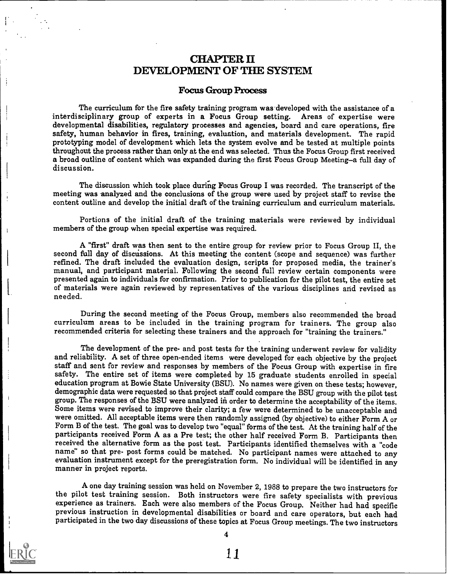# CHAPTER II DEVELOPMENT OF THE SYSTEM

#### Focus Group Process

The curriculum for the fire safety training program was developed with the assistance of a interdisciplinary group of experts in a Focus Group setting. Areas of expertise were developmental disabilities, regulatory processes and agencies, board and care operations, fire safety, human behavior in fires, training, evaluation, and materials development. The rapid prototyping model of development which lets the system evolve and be tested at multiple points throughout the process rather than only at the end was selected. Thus the Focus Group first received a broad outline of content which was expanded during the first Focus Group Meeting-a full day of discussion.

The discussion which took place during Focus Group I was recorded. The transcript of the meeting was analyzed and the conclusions of the group were used by project staff to revise the content outline and develop the initial draft of the training curriculum and curriculum materials.

Portions of the initial draft of the training materials were reviewed by individual members of the group when special expertise was required.

A "first" draft was then sent to the entire group for review prior to Focus Group II, the refined. The draft included the evaluation design, scripts for proposed media, the trainer's manual, and participant material. Following the second full review certain components were presented again to individuals for confirmation. Prior to publication for the pilot test, the entire set of materials were again reviewed by representatives of the various disciplines and revised as needed.

During the second meeting of the Focus Group, members also recommended the broad curriculum areas to be included in the training program for trainers. The group also recommended criteria for selecting these trainers and the approach for "training the trainers."

The development of the pre- and post tests for the training underwent review for validity and reliability. A set of three open-ended items were developed for each objective by the project staff and sent for review and responses by members of the Focus Group with expertise in fire safety. The entire set of items were completed by 15 graduate students enrolled in special education program at Bowie State University (BSU). No names were given on these tests; however, demographic data were requested so that project staff could compare the BSU group with the pilot test group. The responses of the BSU were analyzed in order to determine the acceptability of the items. were omitted. All acceptable items were then randomly assigned (by objective) to either Form A or Form B of the test. The goal was to develop two "equal" forms of the test. At the training half of the participants received Form A as a Pre test; the other half received Form B. Participants then received the alternative form as the post test. Participants identified themselves with a "code name" so that pre- post forms could be matched. No participant names were attached to any evaluation instrument except for the preregistration form. No individual will be identified in any manner in project reports.

A one day training session was held on November 2, 1988 to prepare the two instructors for<br>the pilot test training session. Both instructors were fire safety specialists with previous<br>experience as trainers. Each were also participated in the two day discussions of these topics at Focus Group meetings. The two instructors

ERIC 11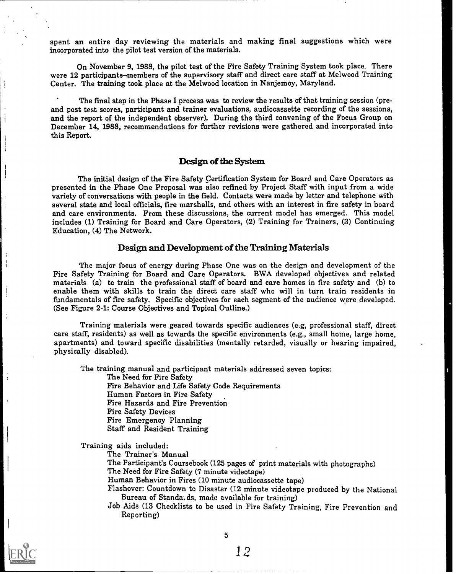spent an entire day reviewing the materials and making final suggestions which were incorporated into the pilot test version of the materials.

On November 9, 1988, the pilot test of the Fire Safety Training System took place. There were 12 participants-members of the supervisory staff and direct care staff at Melwood Training Center. The training took place at the Melwood location in Nanjemoy, Maryland.

The final step in the Phase I process was to review the results of that training session (preand post test scores, participant and trainer evaluations, audiocassette recording of the sessions, and the report of the independent observer). During the third convening of the Focus Group on December 14, 1988, recommendations for further revisions were gathered and incorporated into this Report.

#### Design of the System

The initial design of the Fire Safety Certification System for Board and Care Operators as presented in the Phase One Proposal was also refined by Project Staff with input from a wide variety of conversations with people in the field. Contacts were made by letter and telephone with several state and local officials, fire marshalls, and others with an interest in fire safety in board and care environments. From these discussions, the current model has emerged. This model includes (1) Training for Board and Care Operators, (2) Training for Trainers, (3) Continuing Education, (4) The Network.

#### Design and Development of the Training Materials

The major focus of energy during Phase One was on the design and development of the Fire Safety Training for Board and Care Operators. BWA developed objectives and related materials (a) to train the professional staff of board and care homes in fire safety and (b) to enable them with skills to train the direct care staff who will in turn train residents in fundamentals of fire safety. Specific objectives for each segment of the audience were developed. (See Figure 2-1: Course Objectives and Topical Outline.)

Training materials were geared towards specific audiences (e.g, professional staff, direct care staff, residents) as well as towards the specific environments (e.g., small home, large home, apartments) and toward specific disabilities (mentally retarded, visually or hearing impaired, physically disabled).

The training manual and participant materials addressed seven topics:

The Need for Fire Safety Fire Behavior and Life Safety Code Requirements Human Factors in Fire Safety Fire Hazards and Fire Prevention Fire Safety Devices Fire Emergency Planning Staff and Resident Training

Training aids included:

The Trainer's Manual

The Participant's Coursebook (125 pages of print materials with photographs)

The Need for Fire Safety (7 minute videotape)

Human Behavior in Fires (10 minute audiocassette tape)

Flashover: Countdown to Disaster (12 minute videotape produced by the National Bureau of Standa. ds, made available for training)

Job Aids (13 Checklists to be used in Fire Safety Training, Fire Prevention and Reporting)

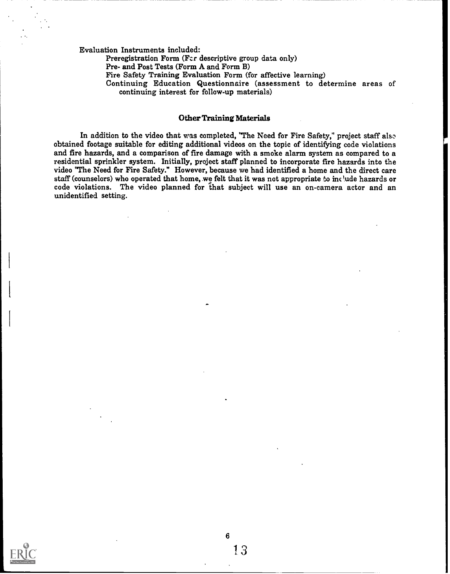Evaluation Instruments included:

Preregistration Form (Fer descriptive group data only)

Pre- and Post Tests (Form A and Form B)<br>Fire Safety Training Evaluation Form (for affective learning)

Continuing Education Questionnaire (assessment to determine areas of continuing interest for follow-up materials)

#### Other Training Materials

In addition to the video that was completed, 'The Need for Fire Safety," project staff also obtained footage suitable for editing additional videos on the topic of identifying code violations and fire hazards, and a comparison of fire damage with a smoke alarm system as compared to a residential sprinkler system. Initially, project staff planned to incorporate fire hazards into the video 'The Need for Fire Safety." However, because we had identified a home and the direct care staff (counselors) who operated that home, we felt that it was not appropriate to include hazards or code violations. The video planned for that subject will use an on-camera actor and an unidentified setting.

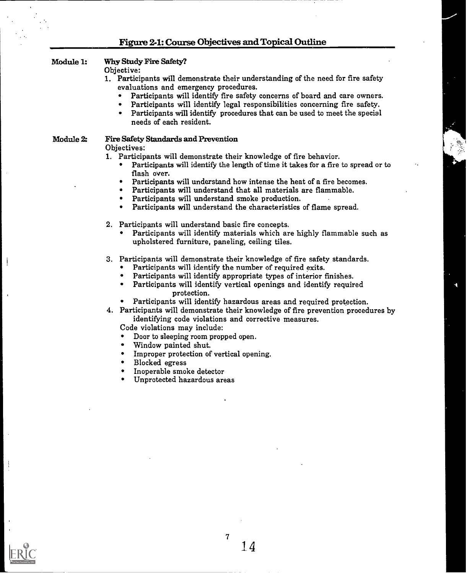#### Module 1: Why Study Fire Safety?

#### Objective:

- 1. Participants will demonstrate their understanding of the need for fire safety evaluations and emergency procedures.
	- Participants will identify fire safety concerns of board and care owners.
	- Participants will identify legal responsibilities concerning fire safety.
	- Participants will identify procedures that can be used to meet the special needs of each resident.

# Module 2: Fire Safety Standards and Prevention

# Objectives:

 $\bullet$ 

- 1. Participants will demonstrate their knowledge of fire behavior.
	- Participants will identify the length of time it takes for a fire to spread or to flash over.
	- Participants will understand how intense the heat of a fire becomes.
	- Participants will understand that all materials are flammable.
	- Participants will understand smoke production.
	- Participants will understand the characteristics of flame spread.
- 2. Participants will understand basic fire concepts.
	- Participants will identify materials which are highly flammable such as upholstered furniture, paneling, ceiling tiles.
- 3. Participants will demonstrate their knowledge of fire safety standards.
	- Participants will identify the number of required exits.
	- Participants will identify appropriate types of interior finishes.
		- Participants will identify vertical openings and identify required protection.
	- Participants will identify hazardous areas and required protection.
- 4. Participants will demonstrate their knowledge of fire prevention procedures by identifying code violations and corrective measures.

Code violations may include:

- Door to sleeping room propped open.
- Window painted shut.
- $\bullet$ Improper protection of vertical opening.
- Blocked egress
- Inoperable smoke detector
- Unprotected hazardous areas

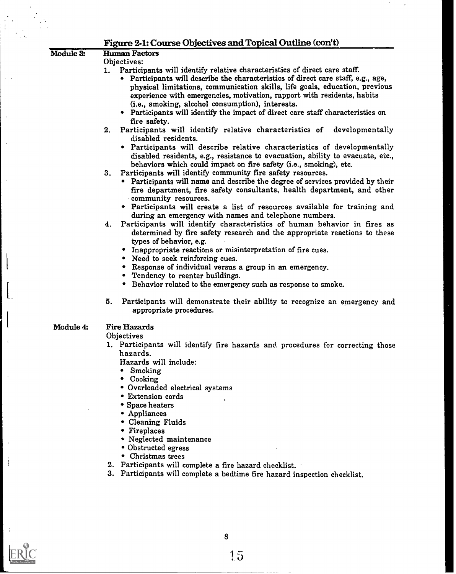# Figure 2-1: Course Objectives and Topical Outline (con't)

### Module 3: Human Factors

#### Objectives:

- 1. Participants will identify relative characteristics of direct care staff.
	- Participants will describe the characteristics of direct care staff, e.g., age, physical limitations, communication skills, life goals, education, previous experience with emergencies, motivation, rapport with residents, habits (i.e., smoking, alcohol consumption), interests.
	- Participants will identify the impact of direct care staff characteristics on fire safety.
- 2. Participants will identify relative characteristics of developmentally disabled residents.
	- Participants will describe relative characteristics of developmentally disabled residents, e.g., resistance to evacuation, ability to evacuate, etc., behaviors which could impact on fire safety (i.e., smoking), etc.
- 3. Participants will identify community fire safety resources.
	- Participants will name and describe the degree of services provided by their fire department, fire safety consultants, health department, and other community resources.<br>• Participants will create a list of resources available for training and
	- during an emergency with names and telephone numbers.
- 4. Participants will identify characteristics of human behavior in fires as determined by fire safety research and the appropriate reactions to these types of behavior, e.g.
	- Inappropriate reactions or misinterpretation of fire cues.
	- Need to seek reinforcing cues.
	- Response of individual versus a group in an emergency.
	- Tendency to reenter buildings.
	- Behavior related to the emergency such as response to smoke.
- 5. Participants will demonstrate their ability to recognize an emergency and appropriate procedures.

#### Module 4: Fire Hazards

**Objectives** 

1. Participants will identify fire hazards and procedures for correcting those hazards.

Hazards will include:

- Smoking
- Cooking
- Overloaded electrical systems
- Extension cords
- Space heaters
- Appliances
- Cleaning Fluids
- Fireplaces
- Neglected maintenance
- Obstructed egress
- Christmas trees
- 2. Participants will complete a fire hazard checklist.
- 3. Participants will complete a bedtime fire hazard inspection checklist.



j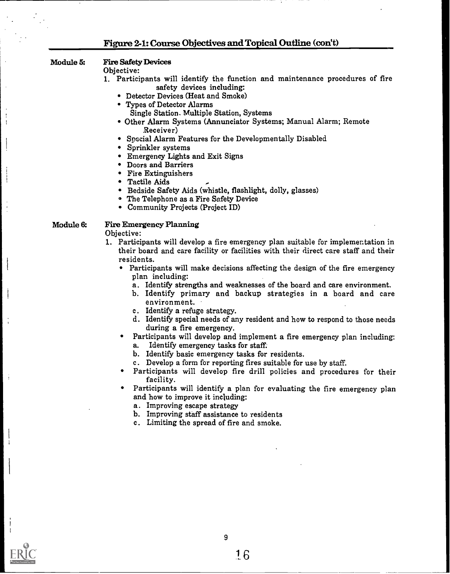# Figure 2-1: Course Objectives and Topical Outline (con't)

#### Module 5: Fire Safety Devices

Objective:

- 1. Participants will identify the function and maintenance procedures of fire safety devices including:
	- Detector Devices (Heat and Smoke)
	- Types of Detector Alarms
		- Single Station- Multiple Station, Systems
	- Other Alarm Systems (Annunciator Systems; Manual Alarm; Remote Receiver)
	- Special Alarm Features for the Developmentally Disabled
	- Sprinkler systems
	- Emergency Lights and Exit Signs
	- Doors and Barriers
	- Fire Extinguishers
	- Tactile Aids
	- Bedside Safety Aids (whistle, flashlight, dolly, glasses)
	- The Telephone as a Fire Safety Device
	- Community Projects (Project ID)

#### Module 6: Fire Emergency Planning

Objective:

- 1. Participants will develop a fire emergency plan suitable for implementation in their board and care facility or facilities with their direct care staff and their residents.
	- Participants will make decisions affecting the design of the fire emergency plan including:
		- a. Identify strengths and weaknesses of the board and care environment.
		- b. Identify primary and backup strategies in a board and care environment.
		- c. Identify a refuge strategy.
		- d. Identify special needs of any resident and how to respond to those needs during a fire emergency.
	- Participants will develop and implement a fire emergency plan including: a. Identify emergency tasks for staff.
		- b. Identify basic emergency tasks for residents.
		- c. Develop a form for reporting fires suitable for use by staff.
	- Participants will develop fire drill policies and procedures for their facility.
	- Participants will identify a plan for evaluating the fire emergency plan and how to improve it including:
		- a. Improving escape strategy
		- b. Improving staff assistance to residents
		- c. Limiting the spread of fire and smoke.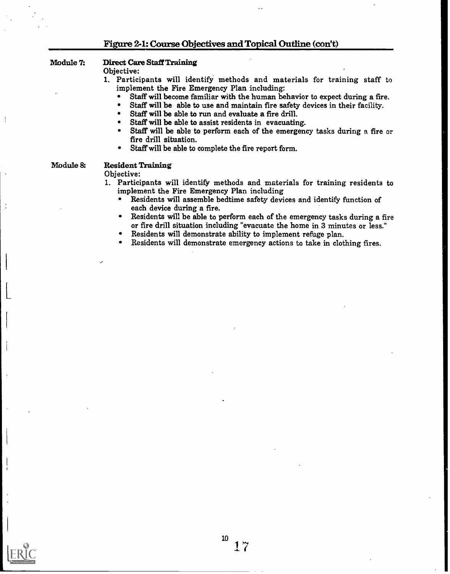### Figure 2-1: Course Objectives and Topical Outline (con't)

#### Module 7: Direct Care Staff Training

#### Objective:

- 1. Participants will identify methods and materials for training staff to implement the Fire Emergency Plan including:<br>• Staff will become familiar with the burnan be
	- Staff will become familiar with the human behavior to expect during a fire.
	- Staff will be able to use and maintain fire safety devices in their facility.
	- Staff will be able to run and evaluate a fire drill.
	- Staff will be able to assist residents in evacuating.
	- Staff will be able to perform each of the emergency tasks during a fire or fire drill situation.
	- Staff will be able to complete the fire report form.

### Module & Resident Training

#### Objective:

- 1. Participants will identify methods and materials for training residents to implement the Fire Emergency Plan including
	- Residents will assemble bedtime safety devices and identify function of each device during a fire.
	- $\bullet$ Residents will be able to perform each of the emergency tasks during a fire or fire drill situation including "evacuate the home in 3 minutes or less."
	- Residents will demonstrate ability to implement refuge plan.
	- Residents will demonstrate emergency actions to take in clothing fires.

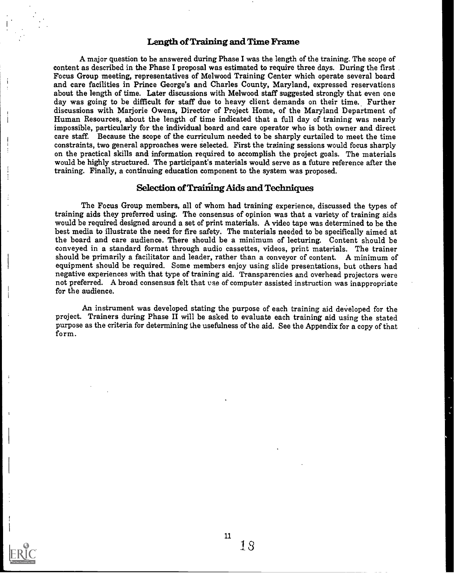### Length of Training and Time Frame

A major question to be answered during Phase I was the length of the training. The scope of content as described in the Phase I proposal was estimated to require three days. During the first Focus Group meeting, representatives of Melwood Training Center which operate several board and care facilities in Prince George's and Charles County, Maryland, expressed reservations about the length of time. Later discussions with Melwood staff suggested strongly that even one day was going to be difficult for staff due to heavy client demands on their time. Further discussions with Marjorie Owens, Director of Project Home, of the Maryland Department of Human Resources, about the length of time indicated that a full day of training was nearly impossible, particularly for the individual board and care operator who is both owner and direct care staff. Because the scope of the curriculum needed to be sharply curtailed to meet the time constraints, two general approaches were selected. First the training sessions would focus sharply on the practical skills and information required to accomplish the project goals. The materials would be highly structured. The participant's materials would serve as a future reference after the training. Finally, a continuing education component to the system was proposed.

# Selection of Training Aids and Techniques

The Focus Group members, all of whom had training experience, discussed the types of training aids they preferred using. The consensus of opinion was that a variety of training aids would be required designed around a set of print materials. A video tape was determined to be the best media to illustrate the need for fire safety. The materials needed to be specifically aimed at the board and care audience. There should be a minimum of lecturing. Content should be conveyed in a standard format through audio cassettes, videos, print materials. The trainer should be primarily a facilitator and leader, rather than a conveyor of content. A minimum of equipment should be required. Some members enjoy using slide presentations, but others had negative experiences with that type of training aid. Transparencies and overhead projectors were not preferred. A broad consensus felt that use of computer assisted instruction was inappropriate for the audience.

An instrument was developed stating the purpose of each training aid developed for the project. Trainers during Phase II will be asked to evaluate each training aid using the stated purpose as the criteria for determining the usefulness of the aid. See the Appendix for a copy of that form.

**EXECUTE SECOND SERVER CONTROL**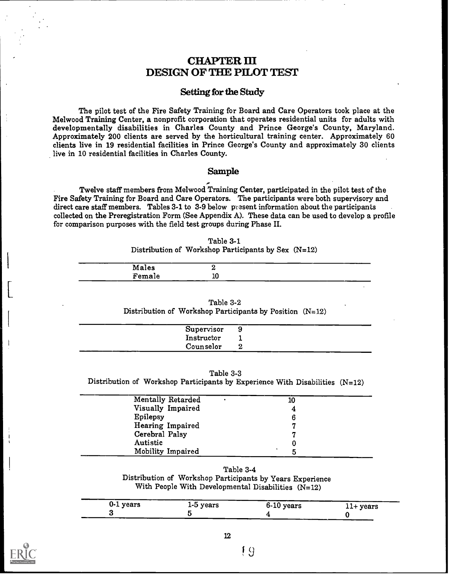# CHAPTER III DESIGN OF THE PILOT TEST

#### Setting for the Study

The pilot test of the Fire Safety Training for Board and Care Operators took place at the Melwood Training Center, a nonprofit corporation that operates residential units for adults with developmentally disabilities in Charles County and Prince George's County, Maryland.<br>Approximately 200 clients are served by the horticultural training center. Approximately 60 clients live in 19 residential facilities in Prince George's County and approximately 30 clients live in 10 residential facilities in Charles County.

# Sample

Twelve staff members from Melwood Training Center, participated in the pilot test of the Fire Safety Training for Board and Care Operators. The participants were both supervisory and direct care staff members. Tables 3-1 to  $3-9$  below present information about the participants collected on the Preregistration Form (See Appendix A). These data can be used to develop a profile for comparison purposes with the field test groups during Phase II.

| Table 3-1                                             |  |
|-------------------------------------------------------|--|
| Distribution of Workshop Participants by Sex $(N=12)$ |  |

| --<br>Males | -  |    |  |
|-------------|----|----|--|
| Female      | -- | -- |  |

| Table 3-2                                                  |  |
|------------------------------------------------------------|--|
| Distribution of Workshop Participants by Position $(N=12)$ |  |

|            | Supervisor<br>U |  |
|------------|-----------------|--|
| Instructor |                 |  |
| Counselor  |                 |  |

Table 3-3

Distribution of Workshop Participants by Experience With Disabilities (N=12)

| Mentally Retarded       | ٠ | 10 |  |
|-------------------------|---|----|--|
| Visually Impaired       |   |    |  |
| Epilepsy                |   | 6  |  |
| <b>Hearing Impaired</b> |   | ., |  |
| Cerebral Palsy          |   | ., |  |
| Autistic                |   |    |  |
| Mobility Impaired       |   | 5  |  |

#### Table 3-4

Distribution of Workshop Participants by Years Experience With People With Developmental Disabilities  $(N=12)$ 

| 0-1 years | 1-5 years | 6-10 years | $11+$ years |
|-----------|-----------|------------|-------------|
|           |           |            |             |

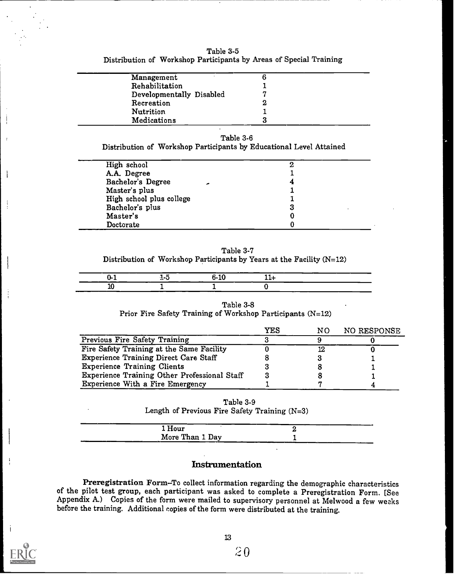| Management               |   |  |
|--------------------------|---|--|
| Rehabilitation           |   |  |
| Developmentally Disabled |   |  |
| Recreation               |   |  |
| Nutrition                |   |  |
| Medications              | 3 |  |

| Table 3-5                                                          |  |  |
|--------------------------------------------------------------------|--|--|
| Distribution of Workshop Participants by Areas of Special Training |  |  |

#### Table 3-6 Distribution of Workshop Participants by Educational Level Attained

| High school              | 2 |
|--------------------------|---|
| A.A. Degree              |   |
| <b>Bachelor's Degree</b> |   |
| Master's plus            |   |
| High school plus college |   |
| Bachelor's plus          | 3 |
| Master's                 | O |
| Doctorate                |   |

Table 3-7 Distribution of Workshop Participants by Years at the Facility  $(N=12)$ 

|  | .1C<br>٠. |  |
|--|-----------|--|
|  |           |  |

### Table 3-8 Prior Fire Safety Training of Workshop Participants (N=12)

|                                              | YES | NO. | NO RESPONSE |
|----------------------------------------------|-----|-----|-------------|
| Previous Fire Safety Training                |     |     |             |
| Fire Safety Training at the Same Facility    |     |     |             |
| <b>Experience Training Direct Care Staff</b> |     |     |             |
| <b>Experience Training Clients</b>           |     |     |             |
| Experience Training Other Prefessional Staff |     |     |             |
| Experience With a Fire Emergency             |     |     |             |

| Table 3-9                                       |  |  |  |  |  |
|-------------------------------------------------|--|--|--|--|--|
| Length of Previous Fire Safety Training $(N=3)$ |  |  |  |  |  |

|      | $-$<br>Hour     |  |
|------|-----------------|--|
| ---- | More Than 1 Day |  |

# Instrumentation

Preregistration Form-To collect information regarding the demographic characteristics of the pilot test group, each participant was asked to complete a Preregistration Form. [See Appendix A.) Copies of the form were mailed before the training. Additional copies of the form were distributed at the training.



ł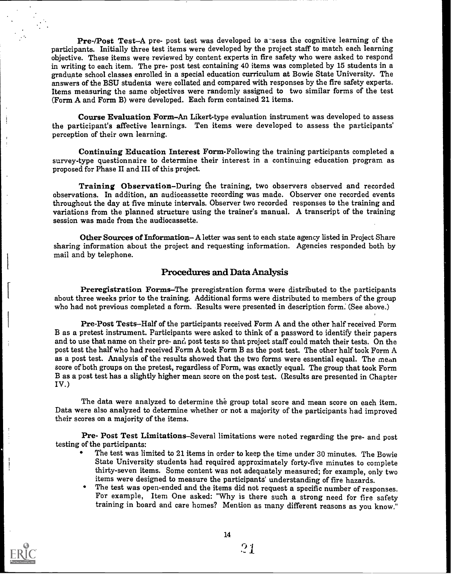Pre-/Post Test-A pre- post test was developed to apsess the cognitive learning of the participants. Initially three test items were developed by the project staff to match each learning objective. These items were reviewed by content experts in fire safety who were asked to respond in writing to each item. The pre- post test containing 40 items was completed by 15 students in a graduate school classes enrolled in a special education curriculum at Bowie State University. The answers of the BSU students were collated and compared with responses by the fire safety experts. Items measuring the same objectives were randomly assigned to two similar forms of the test (Form A and Form B) were developed. Each form contained 21 items.

Course Evaluation Form-An Likert-type evaluation instrument was developed to assess the participant's affective learnings. Ten items were developed to assess the participants' perception of their own learning.

Continuing Education Interest Form-Following the training participants completed a survey-type questionnaire to determine their interest in a continuing education program as proposed for Phase II and III of this project.

Training Observation-During the training, two observers observed and recorded observations. In addition, an audiocassette recording was made. Observer one recorded events throughout the day at five minute intervals. Observer two recorded responses to the training and variations from the planned structure using the trainer's manual. A transcript of the training session was made from the audiocassette.

Other Sources of Information-A letter was sent to each state agency listed in Project Share sharing information about the project and requesting information. Agencies responded both by mail and by telephone.

### Procedures and Data Analysis

Preregistration Forms–The preregistration forms were distributed to the participants about three weeks prior to the training. Additional forms were distributed to members of the group who had not previous completed a form. Results were presented in description form: (See above.)

Pre-Post Tests-Half of the participants received Form A and the other half received Form B as a pretest instrument. Participants were asked to think of a password to identify their papers and to use that name on their pre- and post tests so that project staff could match their tests. On the post test the half who had received Form A took Form B as the post test. The other half took Form A as a post test. Analysis of the results showed that the two forms were essential equal. The mean score of both groups on the pretest, regardless of Form, was exactly equal. The group that took Form B as a post test has a slightly higher mean score on the post test. (Results are presented in Chapter IV.)

The data were analyzed to determine the group total score and mean score on each item. Data were also analyzed to determine whether or not a majority of the participants had improved their scores on a majority of the items.

Pre- Post Test Limitations-Several limitations were noted regarding the pre- and post testing of the participants:

- The test was limited to 21 items in order to keep the time under 30 minutes. The Bowie State University students had required approximately forty-five minutes to complete thirty-seven items. Some content was not adequately measured; for example, only two items were designed to measure the participants' understanding of fire hazards.
- For example, Item One asked: "Why is there such a strong need for fire safety training in board and care homes? Mention as many different reasons as you know."

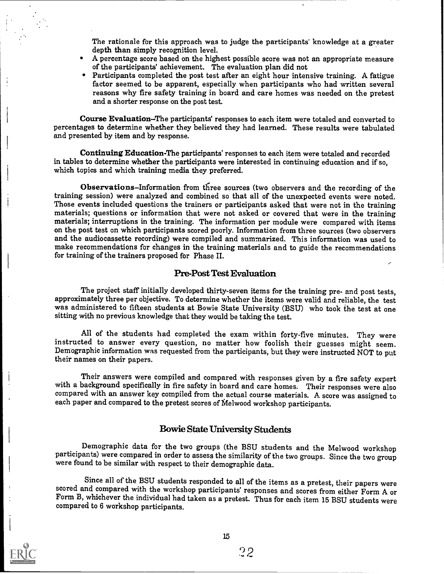The rationale for this approach was to judge the participants' knowledge at a greater depth than simply recognition level.

- A percentage score based on the highest possible score was not an appropriate measure  $\bullet$ of the participants' achievement. The evaluation plan did not
- Participants completed the post test after an eight hour intensive training. A fatigue factor seemed to be apparent, especially when participants who had written several reasons why fire safety training in board and care homes was needed on the pretest and a shorter response on the post test.

Course Evaluation-The participants' responses to each item were totaled and converted to percentages to determine whether they believed they had learned. These results were tabulated and presented by item and by response.

Continuing Education-The participants' responses to each item were totaled and recorded in tables to determine whether the participants were interested in continuing education and if so, which topics and which training media they preferred.

Observations-Information from three sources (two observers and the recording of the training session) were analyzed and combined so that all of the unexpected events were noted. Those events included questions the trainers or participants asked that were not in the training materials; questions or information that were not asked or covered that were in the training materials; interruptions in the training. The information per module were compared with items on the post test on which participants scored poorly. Information from three sources (two observers and the audiocassette recording) were compiled and summarized. This information was used to make recommendations for changes in the training materials and to guide the recommendations for training of the trainers proposed for Phase II.

#### Pre-Post Test Evaluation

The project staff initially developed thirty-seven items for the training pre- and post tests, approximately three per objective. To determine whether the items were valid and reliable, the test was administered to fifteen students at Bowie State University (BSU) who took the test at one sitting with no previous knowledge that they would be taking the test.

All of the students had completed the exam within forty-five minutes. They were instructed to answer every question, no matter how foolish their guesses might seem. Demographic information was requested from the participants, but they were instructed NOT to put their names on their papers.

Their answers were compiled and compared with responses given by a fire safety expert with a background specifically in fire safety in board and care homes. Their responses were also compared with an answer key compiled from the actual course materials. A score was assigned to each paper and compared to the pretest scores of Melwood workshop participants.

### Bowie State University Students

Demographic data for the two groups (the BSU students and the Melwood workshop participants) were compared in order to assess the similarity of the two groups. Since the two group were found to be similar with respect to t

Since all of the BSU students responded to all of the items as a pretest, their papers were scored and compared with the workshop participants' responses and scores from either Form A or Form B, whichever the individual had taken as a pretest. Thus for each item 15 BSU students were compared to 6 workshop participants.



j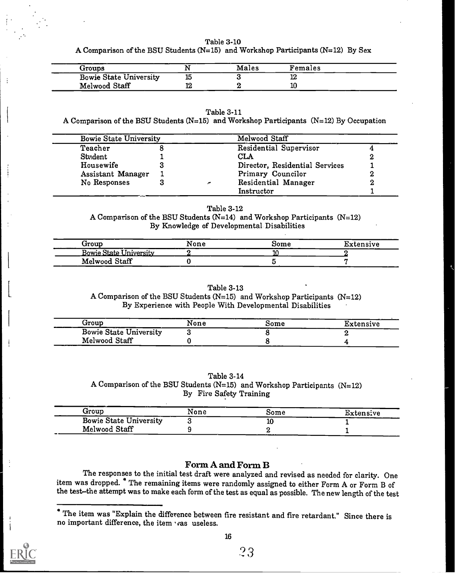Table 3-10

A Comparison of the BSU Students (N=15) and Workshop Participants (N=12) By Sex

| Groups                        | Males | Females |  |
|-------------------------------|-------|---------|--|
| <b>Bowie State University</b> |       |         |  |
| Melwood Staff                 |       | 10      |  |

#### Table 3-11

#### A Comparison of the BSU Students  $(N=15)$  and Workshop Participants  $(N=12)$  By Occupation

| <b>Bowie State University</b> |  | Melwood Staff                  |  |
|-------------------------------|--|--------------------------------|--|
| Teacher                       |  | Residential Supervisor         |  |
| Student                       |  | CLA                            |  |
| Housewife                     |  | Director, Residential Services |  |
| Assistant Manager             |  | Primary Councilor              |  |
| No Responses                  |  | Residential Manager            |  |
|                               |  | Instructor                     |  |

#### Table 3-12

A Comparison of the BSU Students (N=14) and Workshop Participants (N=12) By Knowledge of Developmental Disabilities

| Group                                    | None | ಏome | Extensive |
|------------------------------------------|------|------|-----------|
| --<br>State v<br>Rowie.<br>r injvarejty. |      |      |           |
| <b>Staff</b><br>Melwood                  |      |      |           |

#### Table 3-13

A Comparison of the BSU Students (N=15) and Workshop Participants (N=12) By Experience with People With Developmental Disabilities

| Group                                  | None | __<br>Some | Extensive |
|----------------------------------------|------|------------|-----------|
| $- -$<br><b>Bowie State University</b> |      |            |           |
| Melwood Staff                          |      |            |           |

Table 3-14

A Comparison of the BSU Students (N=15) and Workshop Participants (N=12) By Fire Safety Training

| Group                         | None | some | Extens:ve |
|-------------------------------|------|------|-----------|
| <b>Bowie State University</b> |      | w    |           |
| Melwood Staff                 |      |      |           |

## Form A and Form B

The responses to the initial test draft were analyzed and revised as needed for clarity. One item was dropped. \* The remaining items were randomly assigned to either Form A or Form B of the test-the attempt was to make each form of the test as equal as possible. The new length of the test

The item was "Explain the difference between fire resistant and fire retardant." Since there is no important difference, the item vas useless.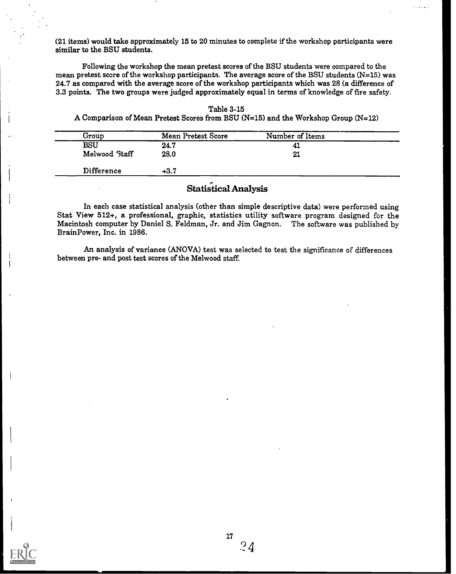(21 items) would take approximately 15 to 20 minutes to complete if the workshop participants were similar to the BSU students.

Following the workshop the mean pretest scores of the BSU students were compared to the mean pretest score of the workshop participants. The average score of the BSU students (N=15) was 24.7 as compared with the average score of the workshop participants which was 28 (a difference of 3.3 points. The two groups were judged approximately equal in terms of knowledge of fire safety.

#### Table 3-15

A Comparison of Mean Pretest Scores from BSU (N=15) and the Workshop Group (N=12)

| Group         | <b>Mean Pretest Score</b> | Number of Items |  |
|---------------|---------------------------|-----------------|--|
| <b>BSU</b>    | 24.7                      | 41              |  |
| Melwood Staff | 28.0                      | 21              |  |
| Difference    | $+3.7$                    |                 |  |

# Statistical Analysis

In each case statistical analysis (other than simple descriptive data) were performed using Stat View 512+, a professional, graphic, statistics utility software program designed for the Macintosh computer by Daniel S. Feldman, Jr. and Jim Gagnon. The software was published by BrainPower, Inc. in 1986.

An analysis of variance (ANOVA) test was selected to test the significance of differences between pre- and post test scores of the Melwood staff.

 $\overline{1}$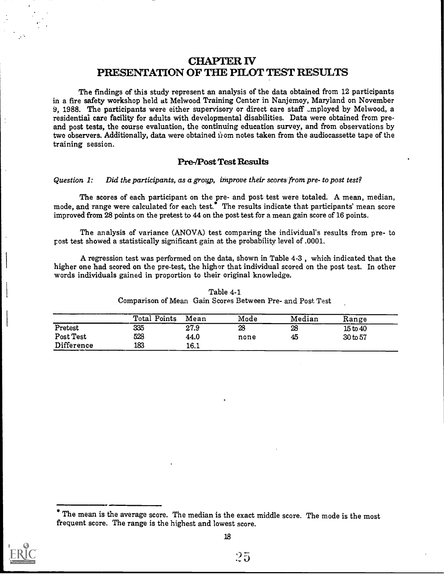# CHAPTER IV PRESENTATION OF THE PILOT TEST RESULTS

The findings of this study represent an analysis of the data obtained from 12 participants in a fire safety workshop held at Melwood Training Center in Nanjemoy, Maryland on November 9, 1988. The participants were either supervisory or direct care staff employed by Melwood, a residential care facility for adults with developmental disabilities. Data were obtained from preand post tests, the course evaluation, the continuing education survey, and from observations by two observers. Additionally, data were obtained trom notes taken from the audiocassette tape of the training session.

# Pre-/Post Test Results

#### Question 1: Did the participants, as a group, improve their scores from pre- to post test?

The scores of each participant on the pre- and post test were totaled. A mean, median, mode, and range were calculated for each test.\* The results indicate that participants' mean score improved from 28 points on the pretest to 44 on the post test for a mean gain score of 16 points.

The analysis of variance (ANOVA) test comparing the individual's results from pre- to post test showed a statistically significant gain at the probability level of .0001.

A regression test was performed on the data, shown in Table 4-3 , which indicated that the higher one had scored on the pre-test, the higher that individual scored on the post test. In other words individuals gained in proportion to their original knowledge.

|                     | Total Points | Mean | Mode | Median | Range               |
|---------------------|--------------|------|------|--------|---------------------|
| Pretest             | 335          | 27.9 | 28   | 28     | 15 to 40            |
| Post Test           | 528          | 44.0 | none | 45     | $30 \text{ to } 57$ |
| Difference<br>----- | 183          | 16.1 |      |        |                     |

| Table 4-1                                                 |  |
|-----------------------------------------------------------|--|
| Comparison of Mean Gain Scores Between Pre- and Post Test |  |

The mean is the average score. The median is the exact middle score. The mode is the most frequent score. The range is the highest and lowest score.

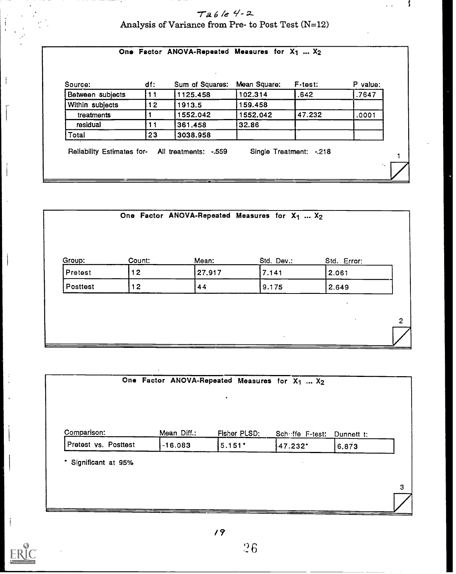# Table 4-2 Analysis of Variance from Pre- to Post Test (N=12)

1

|  | One Factor ANOVA-Repeated Measures for $X_1$ $X_2$ |  |  |
|--|----------------------------------------------------|--|--|
|  |                                                    |  |  |
|  |                                                    |  |  |

| Source:          | df: | Sum of Squares: | Mean Square: | F-test: | P value: |
|------------------|-----|-----------------|--------------|---------|----------|
| Between subjects | 11  | 1125.458        | 102.314      | .642    | .7647    |
| Within subjects  | 12  | 1913.5          | 159.458      |         |          |
| treatments       |     | 1552.042        | 1552.042     | 47.232  | .0001    |
| residual         | 11  | 361.458         | 32.86        |         |          |
| Total            | 23  | 3038.958        |              |         |          |

|          |        |        | One Factor ANOVA-Repeated Measures for $X_1$ $X_2$ |             |
|----------|--------|--------|----------------------------------------------------|-------------|
| Group:   | Count: | Mean:  | Std. Dev.:                                         | Std. Error: |
| Pretest  | 12     | 27.917 | 7.141                                              | 2.061       |
| Posttest | 12     | 44     | 9.175                                              | 2.649       |

|                      | One Factor ANOVA-Repeated Measures for $X_1$ $X_2$ |              |                        |            |
|----------------------|----------------------------------------------------|--------------|------------------------|------------|
| Comparison:          | Mean Diff.:                                        | Fisher PLSD: | Schoffe F-test:        | Dunnett t: |
| Pretest vs. Posttest | $-16.083$                                          | $5.151*$     | $-47.232$ <sup>*</sup> | 6.873      |



 $\frac{1}{2}$ 

 $\ddot{\phantom{1}}$ 

 $\frac{1}{4}$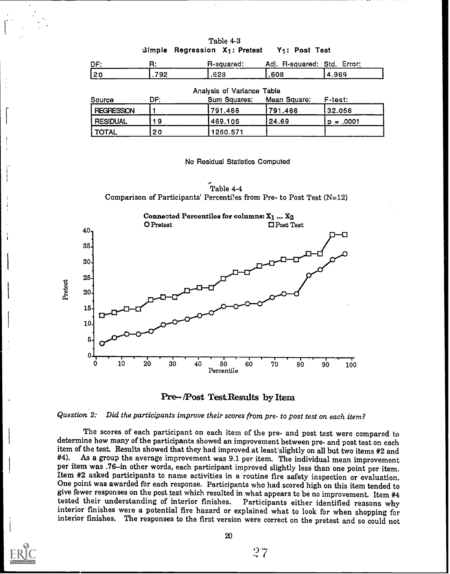| DF:               | R:   | R-squared:                                        | Adi. R-squared: Std. Error: |             |
|-------------------|------|---------------------------------------------------|-----------------------------|-------------|
| 20                | .792 | .628                                              | .608                        | 4.969       |
| Source            | DF:  | Analysis of Variance Table<br><b>Sum Squares:</b> | Mean Square:                | F-test:     |
| <b>REGRESSION</b> |      | 791.466                                           | 791.466                     | 32.056      |
| <b>RESIDUAL</b>   | 19   | 469.105                                           | 24.69                       | $p = .0001$ |
| <b>TOTAL</b>      | 20   | 1260.571                                          |                             |             |

Table 4-3  $Simpl$ e Regression X<sub>1</sub>: Pretest Y<sub>1</sub>: Post Test

No Residual Statistics Computed

Table 4-4 Comparison of Participants' Percentiles from Pre- to Post Test (N=12)

Connected Percentiles for columns:  $X_1 ... X_2$ O Pretest  $\Box$  Post Test 40 35 30 25 Pretest 20 15 10 5  $\mathbf 0$  $\mathbf 0$ 10 20 30 40 50 60 70 80 90 100 Percentile



Question 2: Did the participants improve their scores from pre- to post test on each item?

The scores of each participant on each item of the pre- and post test were compared to determine how many of the participants showed an improvement between pre- and post test on each item of the test. Results showed that they had improved at least slightly on all but two items #2 and #4). As a group the average improvement was 9.1 per item. The individual mean improvement per item was .76-in other words, each participant improved slightly less than one point per item.<br>Item #2 asked participants to name activities in a routine fire safety inspection or evaluation. One point was awarded for each response. Participants who had scored high on this item tended to give fewer responses on the post test which resulted in what appears to be no improvement. Item #4 tested their understanding of interior finishes. Participants either identified reasons why tested their understanding of interior finishes. interior finishes were a potential fire hazard or explained what to look for when shopping for interior finishes. The responses to the first version were correct on the pretest and so could not

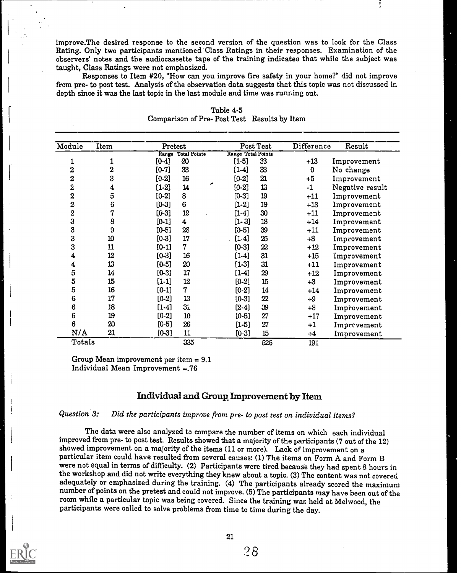improve.The desired response to the second version of the question was to look for the Class Rating. Only two participants mentioned Class Ratings in their responses. Examination of the observers' notes and the audiocassette tape of the training indicates that while the subject was taught, Class Ratings were not emphasized.

Ĩ

Responses to Item #20, "How can you improve fire safety in your home?" did not improve from pre- to post test. Analysis of the observation data suggests that this topic was not discussed in depth since it was the last topic in the last module and time was running out.

| Module           | Item             | Pretest   |                     |                    | Post Test                  | Difference | Result          |
|------------------|------------------|-----------|---------------------|--------------------|----------------------------|------------|-----------------|
|                  |                  | Range     | <b>Total Points</b> | Range Total Points |                            |            |                 |
| 1                | 1                | $[0-4]$   | $\mathbf{20}$       | $[1-5]$            | 33                         | $+13$      | Improvement     |
| 2                | $\boldsymbol{2}$ | $[0-7]$   | 33                  | $[1-4]$            | 33                         | $\bf{0}$   | No change       |
| $\bf{z}$         | 3                | $[0-2]$   | $16\,$              | $[0-2]$            | 21                         | $+5$       | Improvement     |
| 2                | $\boldsymbol{4}$ | $[1-2]$   | 14                  | $[0-2]$            | 13                         | $-1$       | Negative result |
| 2                | 5                | $[0-2]$   | 8                   | $[0-3]$            | 19                         | $+11$      | Improvement     |
| $\overline{2}$   | $6\phantom{1}$   | $[0 - 3]$ | 6                   | $[1-2]$            | 19                         | $+13$      | Improvement     |
| $\bf{2}$         | 7                | $[0 - 3]$ | 19                  | $[1-4]$            | 30                         | $+11$      | Improvement     |
| 3                | 8                | $[0-1]$   | 4                   | $[1-3]$            | 18                         | $+14$      | Improvement     |
| 3                | 9                | $[0 - 5]$ | 28                  | $[0-5]$            | 39                         | $+11$      | Improvement     |
| 3                | 10               | $[0 - 3]$ | 17                  | $[1-4]$            | 25                         | $+8$       | Improvement     |
| 3                | 11               | $[0-1]$   | 7                   | $[0-3]$            | $\boldsymbol{\mathcal{Z}}$ | $+12$      | Improvement     |
| 4                | 12               | $[0-3]$   | 16                  | $[1-4]$            | 31                         | $+15$      | Improvement     |
| 4                | 13               | $[0-5]$   | 20                  | $[1-3]$            | 31                         | $+11$      | Improvement     |
| 5                | 14               | $[0-3]$   | 17                  | $[1-4]$            | $\mathfrak{B}$             | $+12$      | Improvement     |
| 5                | 15               | $[1-1]$   | 12                  | $[0-2]$            | 15                         | $+3$       | Improvement     |
| 5                | 16               | $[0-1]$   | $\overline{7}$      | $[0-2]$            | 14                         | $+14$      | Improvement     |
| $\bf 6$          | 17               | $[0-2]$   | 13                  | $[0-3]$            | $22\,$                     | +9         | Improvement     |
| $\boldsymbol{6}$ | 18               | $[1-4]$   | 3 <sub>1</sub>      | $[2-4]$            | 39                         | $+8$       | Improvement     |
| $\overline{6}$   | 19               | $[0-2]$   | 10 <sup>°</sup>     | $[0-5]$            | 27                         | $+17$      | Improvement     |
| $6\phantom{1}6$  | 20               | $[0-5]$   | $26\,$              | $[1-5]$            | 27                         | $+1$       | Imprevement     |
| N/A              | 21               | [0-3]     | 11                  | [0.3]              | 15                         | $+4$       | Improvement     |
| Totals           |                  |           | 335                 |                    | 526                        | 191        |                 |

Table 4-5 Comparison of Pre- Post Test Results by Item

Group Mean improvement per item = 9.1 Individual Mean Improvement =.76

# Individual and Group Improvement by Item

# Question 3: Did the participants improve from pre- to post test on individual items?

The data were also analyzed to compare the number of items on which each individual improved from pre- to post test. Results showed that a majority of the participants (7 out of the 12) particular item could have resulted from several causes: (1) The items on Form A and Form B were not equal in terms of difficulty. (2) Participants were tired because they had spent 8 hours in the workshop and did not write everything they knew about a topic. (3) The content was not covered adequately or emphasized during the training. (4) The participants already scored the maximum number of points on the pretest and could not improve. (5) The participants may have been out of the room while a particular topic was being covered. Since the training was held at Melwood, the participants were called to solve problems from time to time during the day.

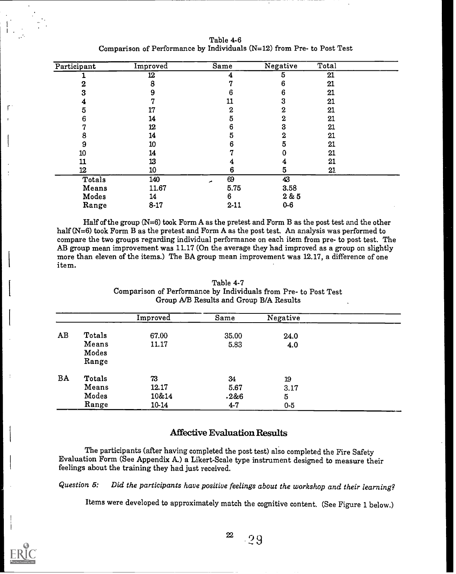| Participant | Improved | Same     | Negative | Total |  |
|-------------|----------|----------|----------|-------|--|
|             | 12       |          | 5        | 21    |  |
|             |          |          |          | 21    |  |
| 3           |          |          | 6        | 21    |  |
|             |          |          |          | 21    |  |
| 5           |          |          |          | 21    |  |
| 6           | 14       |          |          | 21    |  |
|             | 12       | n        |          | 21    |  |
|             | 14       |          |          | 21    |  |
| 9           | 10       |          |          | 21    |  |
| 10          | 14       |          |          | 21    |  |
| 11          | 13       |          |          | 21    |  |
| 12          | 10       | 6        | 5        | 21    |  |
| Totals      | 140      | 69<br>∽  | 43       |       |  |
| Means       | 11.67    | 5.75     | 3.58     |       |  |
| Modes       | 14       | 6        | 2 & 5    |       |  |
| Range       | $8 - 17$ | $2 - 11$ | $0 - 6$  |       |  |

Table 4-6 Comparison of Performance by Individuals (N=12) from Pre- to Post Test

Half of the group  $(N=6)$  took Form A as the pretest and Form B as the post test and the other half (N=6) took Form B as the pretest and Form A as the post test. An analysis was performed to compare the two groups regarding individual performance on each item from pre- to post test. The AB group mean improvement was 11.17 (On the average they had improved as a group on slightly more than eleven of the items.) The BA group mean improvement was 12.17, a difference of one item.

|           |        | Improved | Same  | Negative |  |
|-----------|--------|----------|-------|----------|--|
| AB        | Totals | 67.00    | 35.00 | 24.0     |  |
|           | Means  | 11.17    | 5.83  | 4.0      |  |
|           | Modes  |          |       |          |  |
|           | Range  |          |       |          |  |
| <b>BA</b> | Totals | 73       | 34    | 19       |  |
|           | Means  | 12.17    | 5.67  | 3.17     |  |
|           | Modes  | 10&14    | .2&6  | 5        |  |
|           | Range  | 10-14    | $4-7$ | $0 - 5$  |  |

 $\ddot{\phantom{a}}$ 

| Table 4-7                                                       |  |
|-----------------------------------------------------------------|--|
| Comparison of Performance by Individuals from Pre- to Post Test |  |
| Group A/B Results and Group B/A Results                         |  |

# Affective Evaluation Results

The participants (after having completed the post test) also completed the Fire Safety Evaluation Form (See Appendix A.) a Likert-Scale type instrument designed to measure their feelings about the training they had just received.

Question 5: Did the participants have positive feelings about the workshop and their learning?

Items were developed to approximately match the cognitive content. (See Figure 1 below.)

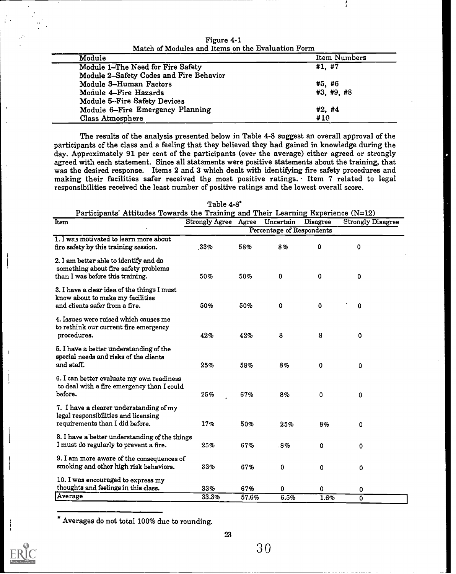| Module                                  | Item Numbers |
|-----------------------------------------|--------------|
| Module 1-The Need for Fire Safety       | #1. #7       |
| Module 2-Safety Codes and Fire Behavior |              |
| Module 3-Human Factors                  | #5,#6        |
| Module 4-Fire Hazards                   | #3, #9, #8   |
| Module 5-Fire Safety Devices            |              |
| Module 6-Fire Emergency Planning        | #2.#4        |
| Class Atmosphere                        | #10          |

Figure 4-1 Match of Modules and Items on the Evaluation Form

 $\frac{1}{2}$ 

The results of the analysis presented below in Table 4-8 suggest an overall approval of the participants of the class and a feeling that they believed they had gained in knowledge during the day. Approximately 91 per cent of the participants (over the average) either agreed or strongly agreed with each statement. Since all statements were positive statements about the training, that was the desired response. Items 2 and 3 which dealt with identifying fire safety procedures and making their facilities safer received thp most positive ratings. Item 7 related to legal responsibilities received the least number of positive ratings and the lowest overall score.

| Participants Attitudes Towards the Training and Their Learning Experience $(N=12)$<br>Item                         | Strongly Agree Agree      |       | Uncertain | Disagree    | <b>Strongly Disagree</b> |  |  |
|--------------------------------------------------------------------------------------------------------------------|---------------------------|-------|-----------|-------------|--------------------------|--|--|
|                                                                                                                    | Percentage of Respondents |       |           |             |                          |  |  |
| 1. I was motivated to learn more about<br>fire safety by this training session.                                    | .33%                      | 58%   | 8%        | 0           | 0                        |  |  |
| 2. I am better able to identify and do<br>something about fire safety problems<br>than I was before this training. | 50%                       | 50%   | 0         | 0           | 0                        |  |  |
| 3. I have a clear idea of the things I must<br>know about to make my facilities<br>and clients safer from a fire.  | 50%                       | 50%   | 0         | $\mathbf 0$ | 0                        |  |  |
| 4. Issues were raised which causes me<br>to rethink our current fire emergency<br>procedures.                      | 42%                       | 42%   | 8         | 8           | 0                        |  |  |
| 5. I have a better understanding of the<br>special needs and risks of the clients<br>and staff.                    | 25%                       | 58%   | 8%        | 0           | 0                        |  |  |
| 6. I can better evaluate my own readiness<br>to deal with a fire emergency than I could<br>before.                 | 25%                       | 67%   | 8%        | 0           | 0                        |  |  |
| 7. I have a clearer understanding of my<br>legal responsibilities and licensing<br>requirements than I did before. | 17%                       | 50%   | 25%       | 8%          | 0                        |  |  |
| 8. I have a better understanding of the things<br>I must do regularly to prevent a fire.                           | 25%                       | 67%   | .8%       | 0           | 0                        |  |  |
| 9. I am more aware of the consequences of<br>smoking and other high risk behaviors.                                | 33%                       | 67%   | 0         | 0           | 0                        |  |  |
| 10. I was encouraged to express my<br>thoughts and feelings in this class.                                         | 33%                       | 67%   | 0         | 0           | 0                        |  |  |
| Average                                                                                                            | 33.3%                     | 57.6% | 6.5%      | 1.6%        | 0                        |  |  |

| Table 4-8 <sup>*</sup>                                                              |  |
|-------------------------------------------------------------------------------------|--|
| Participants' Attitudes Towards the Training and Their Learning Experience $(N=12)$ |  |

Averages do not total 100% due to rounding.

ł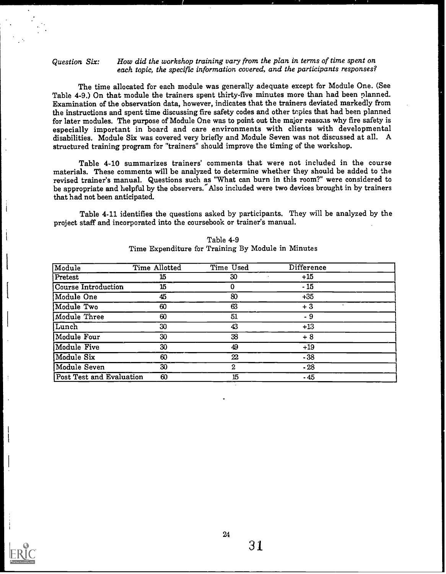#### Question Six: How did the workshop training vary from the plan in terms of time spent on each topic, the specific information covered, and the participants responses?

The time allocated for each module was generally adequate except for Module One. (See Table 4-9.) On that module the trainers spent thirty-five minutes more than had been planned. Examination of the observation data, however, indicates that the trainers deviated markedly from the instructions and spent time discussing fire safety codes and other topics that had been planned for later modules. The purpose of Module One was to point out the major reasous why fire safety is especially important in board and care environments with clients with developmental disabilities. Module Six was covered very briefly and Module Seven was not discussed at all. A structured training program for "trainers" should improve the timing of the workshop.

Table 4-10 summarizes trainers' comments that were not included in the course materials. These comments will be analyzed to determine whether they should be added to the revised trainer's manual. Questions such as "What can burn in this room?" were considered to be appropriate and helpful by the observers. Also included were two devices brought in by trainers that had not been anticipated.

Table 4-11 identifies the questions asked by participants. They will be analyzed by the project staff and incorporated into the coursebook or trainer's manual.

| Module                   | Time Allotted | Time Used | Difference |  |
|--------------------------|---------------|-----------|------------|--|
| Pretest                  | 15            | 30        | $+15$      |  |
| Course Introduction      | 15            | 0         | $-15$      |  |
| Module One               | 45            | 80        | $+35$      |  |
| Module Two               | 60            | 63        | $+3$       |  |
| Module Three             | 60            | 51        | - 9        |  |
| Lunch                    | 30            | 43        | $+13$      |  |
| Module Four              | 30            | 38        | $+8$       |  |
| <b>Module Five</b>       | 30            | 49        | $+19$      |  |
| Module Six               | 60            | $22\,$    | $-38$      |  |
| <b>Module Seven</b>      | 30            | 2         | $-28$      |  |
| Post Test and Evaluation | 60            | 15        | $-45$      |  |

Table 4-9 Time Expenditure for Training By Module in Minutes



 $\mathbf{I}$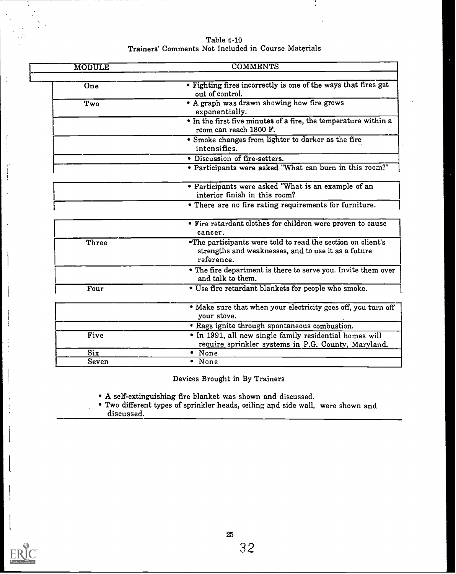| <b>MODULE</b> | <b>COMMENTS</b>                                                                                                                  |
|---------------|----------------------------------------------------------------------------------------------------------------------------------|
|               |                                                                                                                                  |
| One           | • Fighting fires incorrectly is one of the ways that fires get<br>out of control.                                                |
| Two           | . A graph was drawn showing how fire grows<br>exponentially.                                                                     |
|               | . In the first five minutes of a fire, the temperature within a<br>room can reach 1800 F.                                        |
|               | • Smoke changes from lighter to darker as the fire<br>intensifies.                                                               |
|               | • Discussion of fire-setters.                                                                                                    |
|               | • Participants were asked "What can burn in this room?"                                                                          |
|               | • Participants were asked "What is an example of an<br>interior finish in this room?                                             |
|               | . There are no fire rating requirements for furniture.                                                                           |
|               | • Fire retardant clothes for children were proven to cause<br>cancer.                                                            |
| Three         | .The participants were told to read the section on client's<br>strengths and weaknesses, and to use it as a future<br>reference. |
|               | . The fire department is there to serve you. Invite them over<br>and talk to them.                                               |
| Four          | · Use fire retardant blankets for people who smoke.                                                                              |
|               | . Make sure that when your electricity goes off, you turn off<br>your stove.                                                     |
|               | • Rags ignite through spontaneous combustion.                                                                                    |
| Five          | . In 1991, all new single family residential homes will<br>require sprinkler systems in P.G. County, Maryland.                   |
|               |                                                                                                                                  |
| Six           | • None                                                                                                                           |

### Table 4-10 Trainers' Comments Not Included in Course Materials

Devices Brought in By Trainers

A self-extinguishing fire blanket was shown and discussed.

Two different types of sprinkler heads, ceiling and side wall, were shown and discussed.



 $\overline{a}$ 

 $\overline{1}$ Ą

 $\frac{1}{2}$ 

 $\ddot{\phantom{1}}$ 

 $\mathbf{I}$ 

j

 $\overline{\phantom{a}}$ 

J

 $\frac{1}{4}$ 

 $\mathbf{I}$ 

t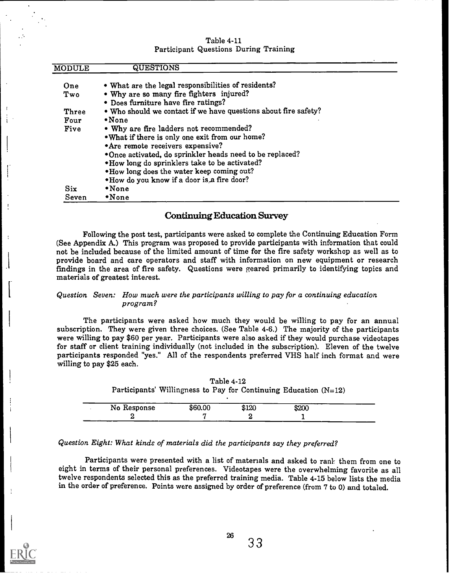| <b>MODULE</b> | <b>QUESTIONS</b>                                                |  |
|---------------|-----------------------------------------------------------------|--|
|               | • What are the legal responsibilities of residents?             |  |
| One           |                                                                 |  |
| Two           | • Why are so many fire fighters injured?                        |  |
|               | • Does furniture have fire ratings?                             |  |
| Three         | • Who should we contact if we have questions about fire safety? |  |
| Four          | $\bullet$ None                                                  |  |
| Five          | • Why are fire ladders not recommended?                         |  |
|               | . What if there is only one exit from our home?                 |  |
|               | • Are remote receivers expensive?                               |  |
|               | •Once activated, do sprinkler heads need to be replaced?        |  |
|               | .How long do sprinklers take to be activated?                   |  |
|               | • How long does the water keep coming out?                      |  |
|               | .How do you know if a door is a fire door?                      |  |
| Six           | •None                                                           |  |
| Seven         | •None                                                           |  |

#### Table 4-11 Participant Questions During Training

# Continuing Education Survey

Following the post test, participants were asked to complete the Continuing Education Form (See Appendix A.) This program was proposed to provide participants with information that could not be included because of the limited amount of time for the fire safety workshop as well as to provide board and care operators and staff with information on new equipment or research findings in the area of fire safety. Questions were geared primarily to identifying topics and materials of greatest interest.

#### Question Seven: How much were the participants willing to pay for a continuing education program?

The participants were asked how much they would be willing to pay for an annual subscription. They were given three choices. (See Table 4-6.) The majority of the participants were willing to pay \$60 per year. Participants were also asked if they would purchase videotapes for staff or client training individually (not included in the subscription). Eleven of the twelve participants responded "yes." All of the respondents preferred VHS half inch format and were willing to pay \$25 each.

Table 4-12 Participants' Willingness to Pay for Continuing Education  $(N=12)$ 

| <br>No Response | \$60.00 | \$120 | ഘ്പ |  |
|-----------------|---------|-------|-----|--|
|                 |         |       |     |  |

#### Question Eight: What kinds of materials did the participants say they preferred?

Participants were presented with a list of materials and asked to rank them from one to eight in terms of their personal preferences. Videotapes were the overwhelming favorite as all twelve respondents selected this as the preferred training media. Table 4-15 below lists the media in the order of preference. Points were assigned by order of preference (from 7 to 0) and totaled.

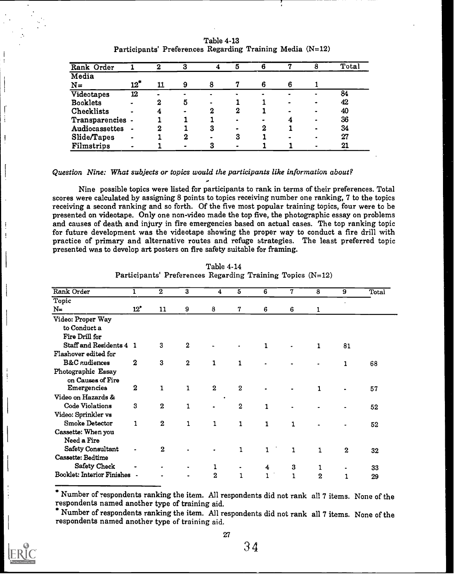| Rank Order       |                | 2 | 3         | 4                        | 5              | 6 | m |           | Total |
|------------------|----------------|---|-----------|--------------------------|----------------|---|---|-----------|-------|
| Media            |                |   |           |                          |                |   |   |           |       |
| $N =$            | $12^{\bullet}$ |   | 9         | 8                        |                | 6 | 6 |           |       |
| Videotapes       | 12             |   |           | $\overline{\phantom{0}}$ | $\blacksquare$ |   |   |           | 84    |
| <b>Booklets</b>  | $\bullet$      | 2 | 5         |                          |                |   |   |           | 42    |
| Checklists       | $\rightarrow$  |   | $\bullet$ | 2                        | 2              |   |   | -         | 40    |
| Transparencies - |                |   |           |                          | $\blacksquare$ |   |   | ۰         | 36    |
| Audiocassettes   | $\bullet$      | 2 |           | 3                        | -              | 2 |   | $\bullet$ | 34    |
| Slide/Tapes      | $\bullet$      |   | $\bf{2}$  |                          | 3              |   |   | ٠         | 27    |
| Filmstrips       |                |   |           |                          |                |   |   |           | 21    |

## Table 4-13 Participants' Preferences Regarding Training Media (N=12)

### Question Nine: What subjects or topics would the participants like information about?

Nine possible topics were listed for participants to rank in terms of their preferences. Total scores were calculated by assigning 8 points to topics receiving number one ranking, 7 to the topics receiving a second ranking and so forth. Of the five most popular training topics, four were to be presented on videotape. Only one non-video made the top five, the photographic essay on problems and causes of death and injury in fire emergencies based on actual cases. The top ranking topic for future development was the videotape showing the proper way to conduct a fire drill with practice of primary and alternative routes and refuge strategies. The least preferred topic presented was to develop art posters on fire safety suitable for framing.

| Rank Order                   |                  | $\overline{\mathbf{2}}$ | 3              | 4                       | 5                | 6            | 7            | 8                | 9        | Total |
|------------------------------|------------------|-------------------------|----------------|-------------------------|------------------|--------------|--------------|------------------|----------|-------|
| Topic                        |                  |                         |                |                         |                  |              |              |                  |          |       |
| N=                           | $12^*$           | 11                      | 9              | 8                       | 7                | 6            | 6            | 1                |          |       |
| Video: Proper Way            |                  |                         |                |                         |                  |              |              |                  |          |       |
| to Conduct a                 |                  |                         |                |                         |                  |              |              |                  |          |       |
| Fire Drill for               |                  |                         |                |                         |                  |              |              |                  |          |       |
| <b>Staff and Residents 4</b> | $\mathbf{1}$     | 3                       | 2              |                         |                  | $\mathbf{1}$ |              | 1                | 81       |       |
| Flashover edited for         |                  |                         |                |                         |                  |              |              |                  |          |       |
| <b>B&amp;C</b> cudiences     | $\boldsymbol{2}$ | 3                       | $\overline{2}$ | $\mathbf{1}$            | $\mathbf{1}$     |              |              |                  | 1        | 68    |
| Photographic Essay           |                  |                         |                |                         |                  |              |              |                  |          |       |
| on Causes of Fire            |                  |                         |                |                         |                  |              |              |                  |          |       |
| Emergencies                  | $\boldsymbol{2}$ | 1                       | $\mathbf{1}$   | $\boldsymbol{2}$        | $\boldsymbol{2}$ |              |              |                  |          | 57    |
| Video on Hazards &           |                  |                         |                |                         |                  |              |              |                  |          |       |
| Code Violations              | 3                | $\mathbf{2}$            | 1              |                         | $\boldsymbol{2}$ | $\mathbf{1}$ |              |                  |          | 52    |
| Video: Sprinkler vs          |                  |                         |                |                         |                  |              |              |                  |          |       |
| Smoke Detector               | $\mathbf{1}$     | $\boldsymbol{2}$        | $\mathbf{1}$   | 1                       | $\mathbf{1}$     | $\mathbf{1}$ | 1            |                  |          | 52    |
| Cassette: When you           |                  |                         |                |                         |                  |              |              |                  |          |       |
| Need a Fire                  |                  |                         |                |                         |                  |              |              |                  |          |       |
| Safety Consultant            | ٠                | $\mathbf{2}$            |                |                         | 1                | $\mathbf{1}$ | $\mathbf{1}$ | 1                | $\bf{2}$ | 32    |
| Cassette: Bedtime            |                  |                         |                |                         |                  |              |              |                  |          |       |
| Safety Check                 |                  |                         |                |                         |                  | 4            | 3            | 1                |          | 33    |
| Booklet: Interior Finishes - |                  |                         |                | $\overline{\mathbf{2}}$ | $\mathbf{1}$     |              | $\mathbf{1}$ | $\boldsymbol{2}$ |          | 29    |

Table 4-14 Participants' Preferences Regarding Training Topics (N=12)

Number of respondents ranking the item. All respondents did not rank all 7 items. None of the respondents named another type of training aid.

Number of respondents ranking the item. All respondents did not rank all 7 items. None of the respondents named another type of training aid.



j Ţ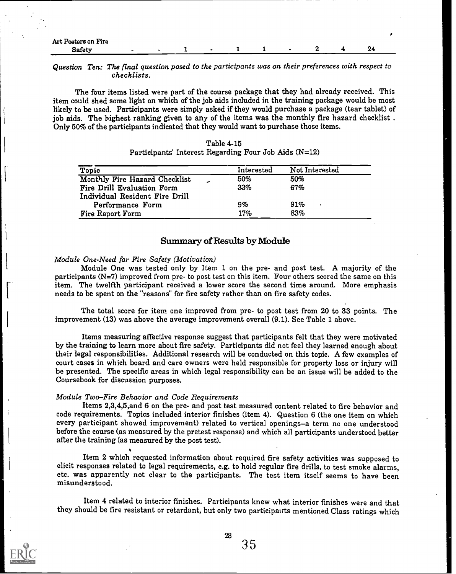| Art Posters on Fire |  |  |  |  |  |  |
|---------------------|--|--|--|--|--|--|
| Safety              |  |  |  |  |  |  |
| __<br>$-$           |  |  |  |  |  |  |

#### Question Ten: The final question posed to the participants was on their preferences with respect to checklists.

The four items listed were part of the course package that they had already received. This item could shed some light on which of the job aids included in the training package would be most likely to be used. Participants were simply asked if they would purchase a package (tear tablet) of job aids. The highest ranking given to any of the items was the monthly fire hazard checklist . Only 50% of the participants indicated that they would want to purchase those items.

| Topic                          | Interested | Not Interested |
|--------------------------------|------------|----------------|
| Monthly Fire Hazard Checklist  | 50%        | 50%            |
| Fire Drill Evaluation Form     | 33%        | 67%            |
| Individual Resident Fire Drill |            |                |
| Performance Form               | 9%         | 91%            |
| Fire Report Form               | 17%        | 83%            |

|                                                       | Table 4-15 |  |  |
|-------------------------------------------------------|------------|--|--|
| Participants' Interest Regarding Four Job Aids (N=12) |            |  |  |

### Summary of Results by Module

#### Module One-Need for Fire Safety (Motivation)

Module One was tested only by Item 1 on the pre- and post test. A majority of the participants (N=7) improved from pre- to post test on this item. Four others scored the same on this item. The twelfth participant received a lower score the second time around. More emphasis needs to be spent on the "reasons" for fire safety rather than on fire safety codes.

The total score for item one improved from pre- to post test from 20 to 33 points. The improvement (13) was above the average improvement overall (9.1). See Table 1 above.

Items measuring affective response suggest that participants felt that they were motivated by the training to learn more about fire safety. Participants did not feel they learned enough about their legal responsibilities. Additional research will be conducted on this topic. A few examples of court cases in which board and care owners were held responsible for property loss or injury will be presented. The specific areas in which legal responsibility can be an issue will be added to the Coursebook for discussion purposes.

#### Module Two-Fire Behavior and Code Requirements

Items 2,3,4,5,and 6 on the pre- and post test measured content related to fire behavior and code requirements. Topics included interior finishes (item 4). Question 6 (the one item on which every participant showed improvement) related to vertical openings-a term no one understood before the course (as measured by the pretest response) and which all participants understood better after the training (as measured by the post test).

Item 2 which requested information about required fire safety activities was supposed to elicit responses related to legal requirements, e.g. to hold regular fire drills, to test smoke alarms, etc. was apparently not clear to the participants. The test item itself seems to have been misunderstood.

Item 4 related to interior finishes. Participants knew what interior finishes were and that they should be fire resistant or retardant, but only two participants mentioned Class ratings which



Î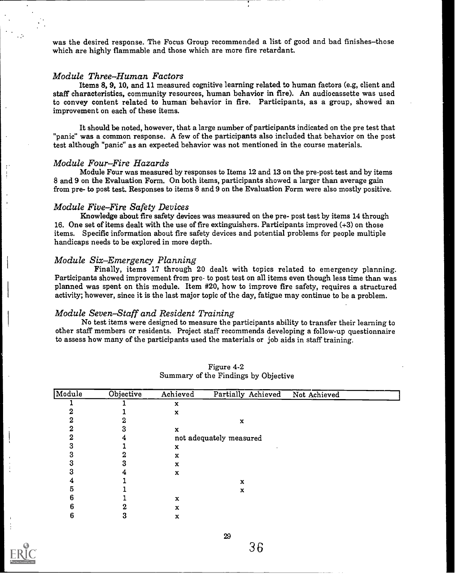was the desired response. The Focus Group recommended a list of good and bad finishes-those which are highly flammable and those which are more fire retardant.

#### Module Three-Human Factors

Items 8, 9, 10, and 11 measured cognitive learning related to human factors (e.g, client and staff characteristics, community resources, human behavior in fire). An audiocassette was used to convey content related to human behavior in fire. Participants, as a group, showed an improvement on each of these items.

It should be noted, however, that a large number of participants indicated on the pre test that "panic" was a common response. A few of the participants also included that behavior on the post test although "panic" as an expected behavior was not mentioned in the course materials.

#### Module Four-Fire Hazards

Module Four was measured by responses to Items 12 and 13 on the pre-post test and by items 8 and 9 on the Evaluation Form. On both items, participants showed a larger than average gain from pre- to post test. Responses to items 8 and 9 on the Evaluation Form were also mostly positive.

#### Module Five-Fire Safety Devices

Knowledge about fire safety devices was measured on the pre- post test by items 14 through 16. One set of items dealt with the use of fire extinguishers. Participants improved (+3) on those items. Specific information about fire safety devices and potential problems for people multiple handicaps needs to be explored in more depth.

#### Module Six-Emergency Planning

Finally, items 17 through 20 dealt with topics related to emergency planning. Participants showed improvement from pre- to post test on all items even though less time than was planned was spent on this module. Item #20, how to improve fire safety, requires a structured activity; however, since it is the last major topic of the day, fatigue may continue to be a problem.

#### Module Seven-Staff and Resident Training

No test items were designed to measure the participants ability to transfer their learning to other staff members or residents. Project staff recommends developing a follow-up questionnaire to assess how many of the participants used the materials or job aids in staff training.

| Module | Objective | Achieved                | Partially Achieved | Not Achieved |
|--------|-----------|-------------------------|--------------------|--------------|
|        |           | x                       |                    |              |
|        |           | $\mathbf x$             |                    |              |
|        |           |                         | x                  |              |
|        |           | $\mathbf x$             |                    |              |
|        |           | not adequately measured |                    |              |
|        |           | x                       |                    |              |
|        |           | x                       |                    |              |
|        |           | x                       |                    |              |
|        |           | x                       |                    |              |
|        |           |                         | x                  |              |
|        |           |                         | x                  |              |
|        |           | X                       |                    |              |
|        |           | x                       |                    |              |
|        |           | x                       |                    |              |

Figure 4-2 Summary of the Findings by Objective

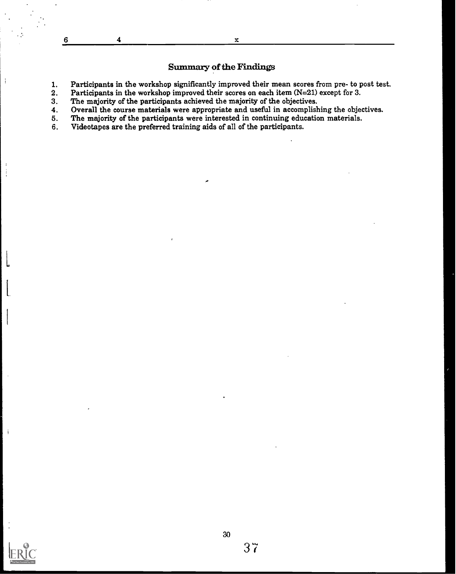6  $4$ 

# Summary of the Findings

- 1. Participants in the workshop significantly improved their mean scores from pre- to post test.<br>2. Participants in the workshop improved their scores on each item  $(N=21)$  except for 3.
- 2. Participants in the workshop improved their scores on each item  $(N=21)$  except for 3.<br>3. The majority of the participants achieved the majority of the objectives.
- 3. The majority of the participants achieved the majority of the objectives.<br>4. Overall the course materials were appropriate and useful in accomplish
- 4. Overall the course materials were appropriate and useful in accomplishing the objectives.<br>5. The majority of the participants were interested in continuing education materials.
- 5. The majority of the participants were interested in continuing education materials.<br>6. Videotapes are the preferred training aids of all of the participants.
- Videotapes are the preferred training aids of all of the participants.



L

j

 $\mathbf i$ 

 $\frac{1}{1}$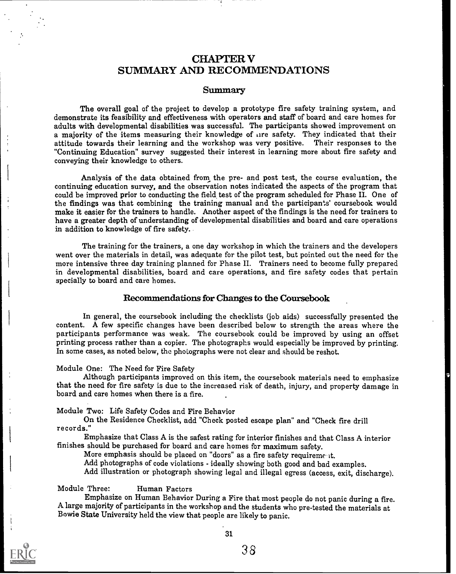# CHAPTER V SUMMARY AND RECOMMENDATIONS

#### Summary

The overall goal of the project to develop a prototype fire safety training system, and demonstrate its feasibility and effectiveness with operators and staff of board and care homes for adults with developmental disabilities was successful. The participants showed improvement on a majority of the items measuring their knowledge of ure safety. They indicated that their attitude towards their learning and the workshop was very positive. Their responses to the "Continuing Education" survey suggested their interest in learning more about fire safety and conveying their knowledge to others.

Analysis of the data obtained from the pre- and post test, the course evaluation, the continuing education survey, and the observation notes indicated the aspects of the program that could be improved prior to conducting the field test of the program scheduled for Phase IL One of the findings was that combining the training manual and the participants' coursebook would make it easier for the trainers to handle. Another aspect of the findings is the need for trainers to have a greater depth of understanding of developmental disabilities and board and care operations in addition to knowledge of fire safety.

The training for the trainers, a one day workshop in which the trainers and the developers went over the materials in detail, was adequate for the pilot test, but pointed out the need for the more intensive three day training planned for Phase II. Trainers need to become fully prepared in developmental disabilities, board and care operations, and fire safety codes that pertain specially to board and care homes.

#### Recommendations for Changes to the Coursebook

In general, the coursebook including the checklists (job aids) successfully presented the content. A few specific changes have been described below to strength the areas where the participants performance was weak. The coursebook could be improved by using an offset printing process rather than a copier. The photographs would especially be improved by printing. In some cases, as noted below, the photographs were not clear and should be reshot.

Module One: The Need for Fire Safety

Although participants improved on this item, the coursebook materials need to emphasize that the need for fire safety is due to the increased risk of death, injury, and property damage in board and care homes when there is a fire.

Module Two: Life Safety Codes and Fire Behavior

On the Residence Checklist, add "Check posted escape plan" and "Check fire drill records."

Emphasize that Class A is the safest rating for interior finishes and that Class A interior finishes should be purchased for board and care homes for maximum safety.

More emphasis should be placed on "doors" as a fire safety requirement.

Add photographs of code violations - ideally showing both good and bad examples.

Add illustration or photograph showing legal and illegal egress (access, exit, discharge).

#### Module Three: Human Factors

Emphasize on Human Behavior During a Fire that most people do not panic during a fire. A large majority of participants in the workshop and the students who pre-tested the materials at Bowie State University held the view that people are likely to panic.

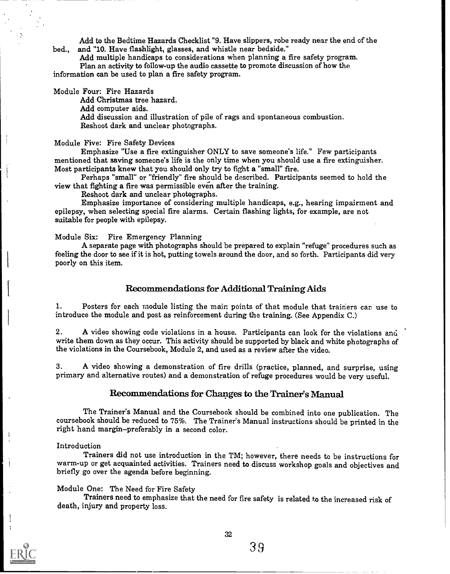Add to the Bedtime Hazards Checklist "9. Have slippers, robe ready near the end of the bed., and "10. Have flashlight, glasses, and whistle near bedside."

Add multiple handicaps to considerations when planning a fire safety program. Plan an activity to follow-up the audio cassette to promote discussion of how the information can be used to plan a fire safety program.

#### Module Four: Fire Hazards

Add Christmas tree hazard. Add computer aids. Add discussion and illustration of pile of rags and spontaneous combustion. Reshoot dark and unclear photographs.

#### Module Five: Fire Safety Devices

Emphasize "Use a fire extinguisher ONLY to save someone's life." Few participants mentioned that saving someone's life is the only time when you should use a fire extinguisher. Most participants knew that you should only try to fight a "small" fire.

Perhaps "small" or "friendly" fire should be described. Participants seemed to hold the view that fighting a fire was permissible even after the training.

Reshoot dark and unclear photographs.

Emphasize importance of considering multiple handicaps, e.g., hearing impairment and epilepsy, when selecting special fire alarms. Certain flashing lights, for example, are not suitable for people with epilepsy.

Module Six: Fire Emergency Planning

A separate page with photographs should be prepared to explain "refuge" procedures such as feeling the door to see if it is hot, putting towels around the door, and so forth. Participants did very poorly on this item.

#### Recommendations for Additional Training Aids

1. Posters for each module listing the main points of that module that trainers car use to introduce the module and post as reinforcement during the training. (See Appendix C.)

2. A video showing code violations in a house. Participants can look for the violations and write them down as they occur. This activity should be supported by black and white photographs of the violations in the Coursebook, Module 2, and used as a review after the video.

3. A video showing a demonstration of fire drills (practice, planned, and surprise, using primary and alternative routes) and a demonstration of refuge procedures would be very useful.

# Recommendations for Changes to the Trainer's Manual

The Trainer's Manual and the Coursebook should be combined into one publication. The coursebook should be reduced to 75%. The Trainer's Manual instructions should be printed in the right hand margin-preferably in a second color.

#### Introduction

Trainers did not use introduction in the TM; however, there needs to be instructions for warm-up or get acquainted activities. Trainers need to discuss workshop goals and objectives and briefly go over the agenda before beginning.

#### Module One: The Need for Fire Safety

Trainers need to emphasize that the need for fire safety is related to the increased risk of death, injury and property loss.

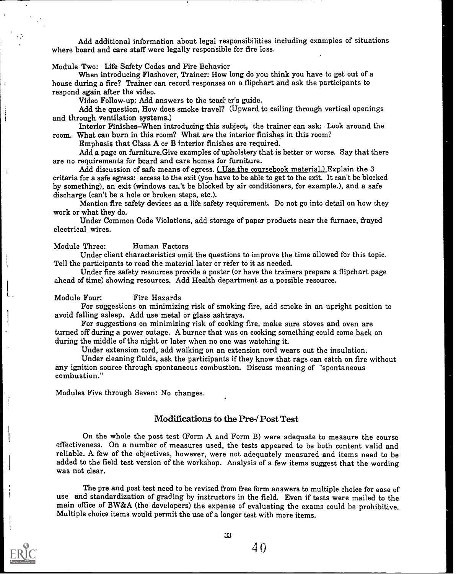Add additional information about legal responsibilities including examples of situations where board and care staff were legally responsible for fire loss.

Module Two: Life Safety Codes and Fire Behavior When introducing Flashover, Trainer: How long do you think you have to get out of a house during a fire? Trainer can record responses on a flipchart and ask the participants to respond again after the video.

Video Follow-up: Add answers to the teacher's guide.

Add the question, How does smoke travel? (Upward to ceiling through vertical openings and through ventilation systems.)

Interior Finishes-When introducing this subject, the trainer can ask: Look around the room. What can burn in this room? What are the interior finishes in this room?

Emphasis that Class A or B interior finishes are required.

Add a page on furniture.Give examples of upholstery that is better or worse. Say that there are no requirements for board and care homes for furniture.

Add discussion of safe means of egress. (Use the coursebook material.) Explain the 3 criteria for a safe egress: access to the exit (you have to be able to get to the exit. It can't be blocked by something), an exit (windows cax.'t be blocked by air conditioners, for example.), and a safe discharge (can't be a hole or broken steps, etc.).

Mention fire safety devices as a life safety requirement. Do not go into detail on how they work or what they do.

Under Common Code Violations, add storage of paper products near the furnace, frayed electrical wires.

Module Three: Human Factors

Under client characteristics omit the questions to improve the time allowed for this topic. Tell the participants to read the material later or refer to it as needed.

Under fire safety resources provide a poster (or have the trainers prepare a flipchart page ahead of time) showing resources. Add Health department as a possible resource.

#### Module Four: Fire Hazards

For suggestions on minimizing risk of smoking fire, add smoke in an upright position to avoid falling asleep. Add use metal or glass ashtrays.

For suggestions on minimizing risk of cooking fire, make sure stoves and oven are turned off during a power outage. A burner that was on cooking something could come back on during the middle of the night or later when no one was watching it.

Under extension cord, add walking on an extension cord wears out the insulation.

Under cleaning fluids, ask the participants if they know that rags can catch on fire without any ignition source through spontaneous combustion. Discuss meaning of "spontaneous combustion."

Modules Five through Seven: No changes.

#### Modifications to the Pre-/ Post Test

On the whole the post test (Form A and Form B) were adequate to measure the course effectiveness. On a number of measures used, the tests appeared to be both content valid and reliable. A few of the objectives, however, were not adequately measured and items need to be added to the field test version of the workshop. Analysis of a few items suggest that the wording was not clear.

The pre and post test need to be revised from free form answers to multiple choice for ease of use and standardization of grading by instructors in the field. Even if tests were mailed to the main office of BW&A (the developers) the expense of evaluating the exams could be prohibitive. Multiple choice items would permit the use of a longer test with more items.

 $\frac{1}{2}$ 

j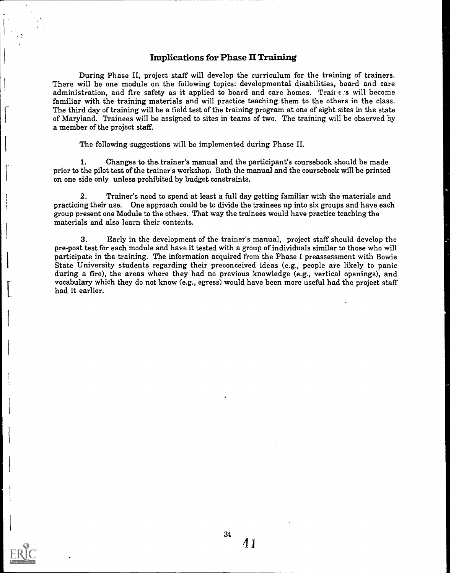#### Implications for Phase II Training

During Phase II, project staff will develop the curriculum for the training of trainers. There will be one module on the following topics: developmental disabilities, board and care administration, and fire safety as it applied to board and care homes. Traine :s will become familiar with the training materials and will practice teaching them to the others in the class. The third day of training will be a field test of the training program at one of eight sites in the state of Maryland. Trainees will be assigned to sites in teams of two. The training will be observed by a member of the project staff.

The following suggestions will be implemented during Phase IL

1. Changes to the trainer's manual and the participant's coursebook should be made prior to the pilot test of the trainer's workshop. Both the manual and the coursebook will be printed on one side only unless prohibited by budget constraints.

2. Trainer's need to spend at least a full day getting familiar with the materials and practicing their use. One approach could be to divide the trainees up into six groups and have each group present one Module to the others. That way the trainees would have practice teaching the materials and also learn their contents.

3. Early in the development of the trainer's manual, project staff should develop the pre-post test for each module and have it tested with a group of individuals similar to those who will participate in the training. The information acquired from the Phase I preassessment with Bowie<br>State University students regarding their preconceived ideas (e.g., people are likely to panic during a fire), the areas where they had no previous knowledge (e.g., vertical openings), and vocabulary which they do not know (e.g., egress) would have been more useful had the project staff had it earlier.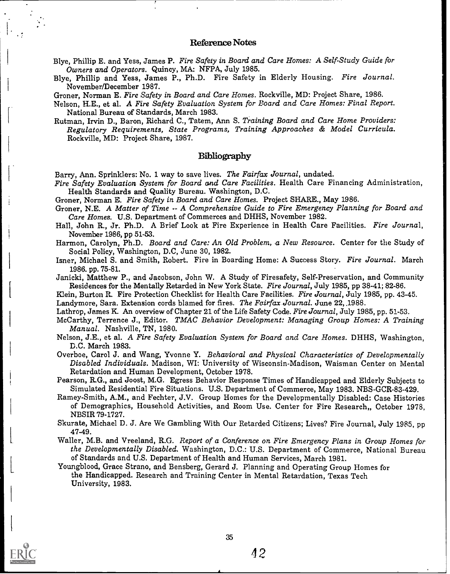- Blye, Phillip E. and Yess, James P. Fire Safety in Board and Care Homes: A Self-Study Guide for Owners and Operators. Quincy, MA: NFPA, July 1985.
- Blye, Phillip and Yess, James P., Ph.D. Fire Safety in Elderly Housing. Fire Journal. November/December 1987.

Groner, Norman E. Fire Safety in Board and Care Homes. Rockville, MD: Project Share, 1986.

- Nelson, H.E., et al. A Fire Safety Evaluation System for Board and Care Homes: Final Report. National Bureau of Standards, March 1983.
- Rutman, Irvin D., Baron, Richard C., Tatem, Ann S. Training Board and Care Home Providers: Regulatory Requirements, State Programs, Training Approaches & Model Curricula. Rockville, MD: Project Share, 1987.

#### Bibliography

Barry, Ann. Sprinklers: No. 1 way to save lives. The Fairfax Journal, undated.

Fire Safety Evaluation System for Board and Care Facilities. Health Care Financing Administration, Health Standards and Quality Bureau. Washington, D.C.

Groner, Norman E. Fire Safety in Board and Care Homes. Project SHARE., May 1986.

- Groner, N.E. A Matter of Time -- A Comprehensive Guide to Fire Emergency Planning for Board and Care Homes. U.S. Department of Commerces and DHHS, November 1982.
- Hall, John R., Jr. Ph.D. A Brief Look at Fire Experience in Health Care Facilities. Fire Journal, November 1986, pp 51-53.
- Harmon, Carolyn, Ph.D. Board and Care: An Old Problem, a New Resource. Center for the Study of Social Policy, Washington, D.C, June 30, 1982.
- Isner, Michael S. and Smith, Robert. Fire in Boarding Home: A Success Story. Fire Journal. March 1986. pp. 75-81.
- Janicki, Matthew P., and Jacobson, John W. A Study of Firesafety, Self-Preservation, and Community Residences for the Mentally Retarded in New York State. Fire Journal, July 1985, pp 38-41; 82-86.
- Klein, Burton R. Fire Protection Checklist for Health Care Facilities. Fire Journal, July 1985, pp. 43-45. Landymore, Sara. Extension cords blamed for fires. The Fairfax Journal. June 22, 1988.
- Lathrop, James K. An overview of Chapter 21 of the Life Safety Code. Fire Journal, July 1985, pp. 51-53.
- McCarthy, Terrence J., Editor. TMAC Behavior Development: Managing Group Homes: A Training Manual. Nashville, TN, 1980.
- Nelson, J,E., et al. A Fire Safety Evaluation System for Board and Care Homes. DHHS, Washington, D.C. March 1983.
- Overboe, Carol J. and Wang, Yvonne Y. Behavioral and Physical Characteristics of Developmentally Disabled Individuals. Madison, WI: University of Wisconsin-Madison, Waisman Center on Mental Retardation and Human Development, October 1978.
- Pearson, R.G., and Joost, M.G. Egress Behavior Response Times of Handicapped and Elderly Subjects to Simulated Residential Fire Situations. U.S. Department of Commerce, May 1983. NBS-GCR-83-429.
- Ramey-Smith, A.M., and Fechter, J.V. Group Homes for the Developmentally Disabled: Case Histories of Demographics, Household Activities, and Room Use. Center for Fire Research,, October 1978, NBSIR 79-1727.
- Skurate, Michael D. J. Are We Gambling With Our Retarded Citizens; Lives? Fire Journal, July 1985, pp 47-49.
- Waller, M.B. and Vreeland, R.G. Report of a Conference on Fire Emergency Plans in Group Homes for the Developmentally Disabled. Washington, D.C.: U.S. Department of Commerce, National Bureau of Standards and U.S. Department of Health and Human Services, March 1981.
- Youngblood, Grace Strano, and Bensberg, Gerard J. Planning and Operating Group Homes for the Handicapped. Research and Training Center in Mental Retardation, Texas Tech University, 1983.